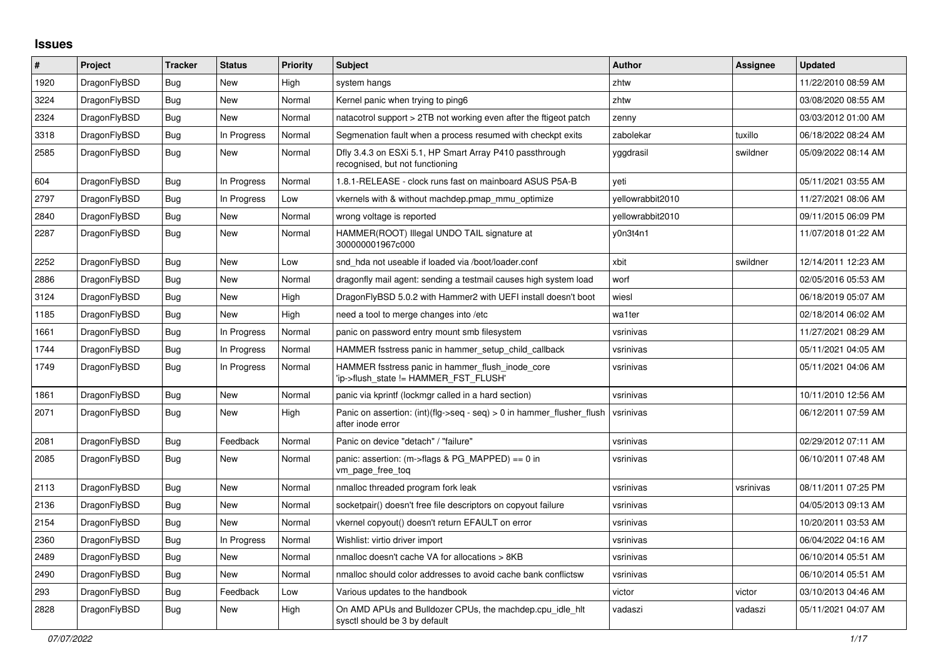## **Issues**

| $\#$ | Project      | <b>Tracker</b> | <b>Status</b> | <b>Priority</b> | <b>Subject</b>                                                                                | <b>Author</b>    | Assignee  | <b>Updated</b>      |
|------|--------------|----------------|---------------|-----------------|-----------------------------------------------------------------------------------------------|------------------|-----------|---------------------|
| 1920 | DragonFlyBSD | <b>Bug</b>     | New           | High            | system hangs                                                                                  | zhtw             |           | 11/22/2010 08:59 AM |
| 3224 | DragonFlyBSD | Bug            | New           | Normal          | Kernel panic when trying to ping6                                                             | zhtw             |           | 03/08/2020 08:55 AM |
| 2324 | DragonFlyBSD | Bug            | New           | Normal          | natacotrol support > 2TB not working even after the ftigeot patch                             | zenny            |           | 03/03/2012 01:00 AM |
| 3318 | DragonFlyBSD | Bug            | In Progress   | Normal          | Segmenation fault when a process resumed with checkpt exits                                   | zabolekar        | tuxillo   | 06/18/2022 08:24 AM |
| 2585 | DragonFlyBSD | Bug            | <b>New</b>    | Normal          | Dfly 3.4.3 on ESXi 5.1, HP Smart Array P410 passthrough<br>recognised, but not functioning    | yggdrasil        | swildner  | 05/09/2022 08:14 AM |
| 604  | DragonFlyBSD | Bug            | In Progress   | Normal          | 1.8.1-RELEASE - clock runs fast on mainboard ASUS P5A-B                                       | yeti             |           | 05/11/2021 03:55 AM |
| 2797 | DragonFlyBSD | Bug            | In Progress   | Low             | vkernels with & without machdep.pmap_mmu_optimize                                             | yellowrabbit2010 |           | 11/27/2021 08:06 AM |
| 2840 | DragonFlyBSD | Bug            | New           | Normal          | wrong voltage is reported                                                                     | yellowrabbit2010 |           | 09/11/2015 06:09 PM |
| 2287 | DragonFlyBSD | Bug            | New           | Normal          | HAMMER(ROOT) Illegal UNDO TAIL signature at<br>300000001967c000                               | y0n3t4n1         |           | 11/07/2018 01:22 AM |
| 2252 | DragonFlyBSD | Bug            | New           | Low             | snd hda not useable if loaded via /boot/loader.conf                                           | xbit             | swildner  | 12/14/2011 12:23 AM |
| 2886 | DragonFlyBSD | Bug            | New           | Normal          | dragonfly mail agent: sending a testmail causes high system load                              | worf             |           | 02/05/2016 05:53 AM |
| 3124 | DragonFlyBSD | Bug            | New           | High            | DragonFlyBSD 5.0.2 with Hammer2 with UEFI install doesn't boot                                | wiesl            |           | 06/18/2019 05:07 AM |
| 1185 | DragonFlyBSD | Bug            | <b>New</b>    | High            | need a tool to merge changes into /etc                                                        | wa1ter           |           | 02/18/2014 06:02 AM |
| 1661 | DragonFlyBSD | Bug            | In Progress   | Normal          | panic on password entry mount smb filesystem                                                  | vsrinivas        |           | 11/27/2021 08:29 AM |
| 1744 | DragonFlyBSD | <b>Bug</b>     | In Progress   | Normal          | HAMMER fsstress panic in hammer setup child callback                                          | vsrinivas        |           | 05/11/2021 04:05 AM |
| 1749 | DragonFlyBSD | <b>Bug</b>     | In Progress   | Normal          | HAMMER fsstress panic in hammer_flush_inode_core<br>'ip->flush state != HAMMER FST FLUSH'     | vsrinivas        |           | 05/11/2021 04:06 AM |
| 1861 | DragonFlyBSD | <b>Bug</b>     | New           | Normal          | panic via kprintf (lockmgr called in a hard section)                                          | vsrinivas        |           | 10/11/2010 12:56 AM |
| 2071 | DragonFlyBSD | Bug            | New           | High            | Panic on assertion: $(int)(flag->seq - seq) > 0$ in hammer flusher flush<br>after inode error | vsrinivas        |           | 06/12/2011 07:59 AM |
| 2081 | DragonFlyBSD | Bug            | Feedback      | Normal          | Panic on device "detach" / "failure"                                                          | vsrinivas        |           | 02/29/2012 07:11 AM |
| 2085 | DragonFlyBSD | Bug            | New           | Normal          | panic: assertion: $(m\rightarrow$ flags & PG MAPPED) == 0 in<br>vm page free tog              | vsrinivas        |           | 06/10/2011 07:48 AM |
| 2113 | DragonFlyBSD | <b>Bug</b>     | <b>New</b>    | Normal          | nmalloc threaded program fork leak                                                            | vsrinivas        | vsrinivas | 08/11/2011 07:25 PM |
| 2136 | DragonFlyBSD | <b>Bug</b>     | <b>New</b>    | Normal          | socketpair() doesn't free file descriptors on copyout failure                                 | vsrinivas        |           | 04/05/2013 09:13 AM |
| 2154 | DragonFlyBSD | Bug            | New           | Normal          | vkernel copyout() doesn't return EFAULT on error                                              | vsrinivas        |           | 10/20/2011 03:53 AM |
| 2360 | DragonFlyBSD | Bug            | In Progress   | Normal          | Wishlist: virtio driver import                                                                | vsrinivas        |           | 06/04/2022 04:16 AM |
| 2489 | DragonFlyBSD | <b>Bug</b>     | New           | Normal          | nmalloc doesn't cache VA for allocations > 8KB                                                | vsrinivas        |           | 06/10/2014 05:51 AM |
| 2490 | DragonFlyBSD | Bug            | New           | Normal          | nmalloc should color addresses to avoid cache bank conflictsw                                 | vsrinivas        |           | 06/10/2014 05:51 AM |
| 293  | DragonFlyBSD | Bug            | Feedback      | Low             | Various updates to the handbook                                                               | victor           | victor    | 03/10/2013 04:46 AM |
| 2828 | DragonFlyBSD | <b>Bug</b>     | <b>New</b>    | High            | On AMD APUs and Bulldozer CPUs, the machdep.cpu idle hit<br>sysctl should be 3 by default     | vadaszi          | vadaszi   | 05/11/2021 04:07 AM |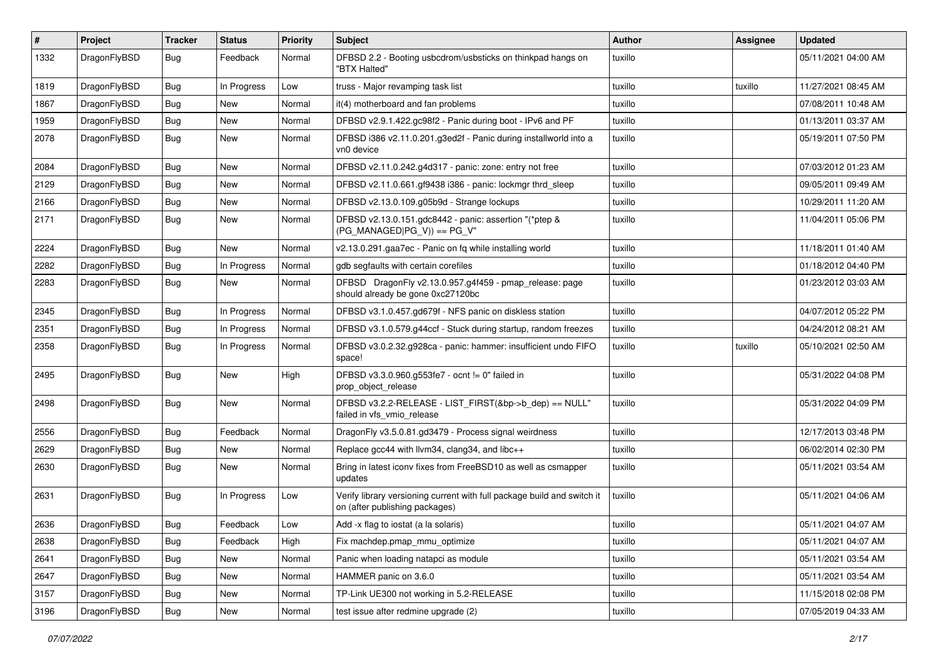| #    | Project      | <b>Tracker</b> | <b>Status</b> | <b>Priority</b> | Subject                                                                                                   | <b>Author</b> | Assignee | <b>Updated</b>      |
|------|--------------|----------------|---------------|-----------------|-----------------------------------------------------------------------------------------------------------|---------------|----------|---------------------|
| 1332 | DragonFlyBSD | Bug            | Feedback      | Normal          | DFBSD 2.2 - Booting usbcdrom/usbsticks on thinkpad hangs on<br>"BTX Halted"                               | tuxillo       |          | 05/11/2021 04:00 AM |
| 1819 | DragonFlyBSD | <b>Bug</b>     | In Progress   | Low             | truss - Major revamping task list                                                                         | tuxillo       | tuxillo  | 11/27/2021 08:45 AM |
| 1867 | DragonFlyBSD | Bug            | New           | Normal          | it(4) motherboard and fan problems                                                                        | tuxillo       |          | 07/08/2011 10:48 AM |
| 1959 | DragonFlyBSD | <b>Bug</b>     | New           | Normal          | DFBSD v2.9.1.422.gc98f2 - Panic during boot - IPv6 and PF                                                 | tuxillo       |          | 01/13/2011 03:37 AM |
| 2078 | DragonFlyBSD | Bug            | New           | Normal          | DFBSD i386 v2.11.0.201.g3ed2f - Panic during installworld into a<br>vn0 device                            | tuxillo       |          | 05/19/2011 07:50 PM |
| 2084 | DragonFlyBSD | Bug            | New           | Normal          | DFBSD v2.11.0.242.g4d317 - panic: zone: entry not free                                                    | tuxillo       |          | 07/03/2012 01:23 AM |
| 2129 | DragonFlyBSD | Bug            | <b>New</b>    | Normal          | DFBSD v2.11.0.661.gf9438 i386 - panic: lockmgr thrd_sleep                                                 | tuxillo       |          | 09/05/2011 09:49 AM |
| 2166 | DragonFlyBSD | Bug            | New           | Normal          | DFBSD v2.13.0.109.g05b9d - Strange lockups                                                                | tuxillo       |          | 10/29/2011 11:20 AM |
| 2171 | DragonFlyBSD | <b>Bug</b>     | New           | Normal          | DFBSD v2.13.0.151.gdc8442 - panic: assertion "(*ptep &<br>$(PG_MANAGED PG_V)) == PG_V"$                   | tuxillo       |          | 11/04/2011 05:06 PM |
| 2224 | DragonFlyBSD | Bug            | <b>New</b>    | Normal          | v2.13.0.291.gaa7ec - Panic on fq while installing world                                                   | tuxillo       |          | 11/18/2011 01:40 AM |
| 2282 | DragonFlyBSD | <b>Bug</b>     | In Progress   | Normal          | gdb segfaults with certain corefiles                                                                      | tuxillo       |          | 01/18/2012 04:40 PM |
| 2283 | DragonFlyBSD | <b>Bug</b>     | New           | Normal          | DFBSD DragonFly v2.13.0.957.g4f459 - pmap_release: page<br>should already be gone 0xc27120bc              | tuxillo       |          | 01/23/2012 03:03 AM |
| 2345 | DragonFlyBSD | Bug            | In Progress   | Normal          | DFBSD v3.1.0.457.gd679f - NFS panic on diskless station                                                   | tuxillo       |          | 04/07/2012 05:22 PM |
| 2351 | DragonFlyBSD | Bug            | In Progress   | Normal          | DFBSD v3.1.0.579.g44ccf - Stuck during startup, random freezes                                            | tuxillo       |          | 04/24/2012 08:21 AM |
| 2358 | DragonFlyBSD | <b>Bug</b>     | In Progress   | Normal          | DFBSD v3.0.2.32.g928ca - panic: hammer: insufficient undo FIFO<br>space!                                  | tuxillo       | tuxillo  | 05/10/2021 02:50 AM |
| 2495 | DragonFlyBSD | Bug            | New           | High            | DFBSD v3.3.0.960.g553fe7 - ocnt != 0" failed in<br>prop_object_release                                    | tuxillo       |          | 05/31/2022 04:08 PM |
| 2498 | DragonFlyBSD | <b>Bug</b>     | New           | Normal          | DFBSD v3.2.2-RELEASE - LIST_FIRST(&bp->b_dep) == NULL"<br>failed in vfs_vmio_release                      | tuxillo       |          | 05/31/2022 04:09 PM |
| 2556 | DragonFlyBSD | Bug            | Feedback      | Normal          | DragonFly v3.5.0.81.gd3479 - Process signal weirdness                                                     | tuxillo       |          | 12/17/2013 03:48 PM |
| 2629 | DragonFlyBSD | <b>Bug</b>     | <b>New</b>    | Normal          | Replace gcc44 with llvm34, clang34, and libc++                                                            | tuxillo       |          | 06/02/2014 02:30 PM |
| 2630 | DragonFlyBSD | <b>Bug</b>     | New           | Normal          | Bring in latest iconv fixes from FreeBSD10 as well as csmapper<br>updates                                 | tuxillo       |          | 05/11/2021 03:54 AM |
| 2631 | DragonFlyBSD | Bug            | In Progress   | Low             | Verify library versioning current with full package build and switch it<br>on (after publishing packages) | tuxillo       |          | 05/11/2021 04:06 AM |
| 2636 | DragonFlyBSD | <b>Bug</b>     | Feedback      | Low             | Add -x flag to iostat (a la solaris)                                                                      | tuxillo       |          | 05/11/2021 04:07 AM |
| 2638 | DragonFlyBSD | <b>Bug</b>     | Feedback      | High            | Fix machdep.pmap_mmu_optimize                                                                             | tuxillo       |          | 05/11/2021 04:07 AM |
| 2641 | DragonFlyBSD | <b>Bug</b>     | New           | Normal          | Panic when loading natapci as module                                                                      | tuxillo       |          | 05/11/2021 03:54 AM |
| 2647 | DragonFlyBSD | <b>Bug</b>     | New           | Normal          | HAMMER panic on 3.6.0                                                                                     | tuxillo       |          | 05/11/2021 03:54 AM |
| 3157 | DragonFlyBSD | <b>Bug</b>     | New           | Normal          | TP-Link UE300 not working in 5.2-RELEASE                                                                  | tuxillo       |          | 11/15/2018 02:08 PM |
| 3196 | DragonFlyBSD | <b>Bug</b>     | New           | Normal          | test issue after redmine upgrade (2)                                                                      | tuxillo       |          | 07/05/2019 04:33 AM |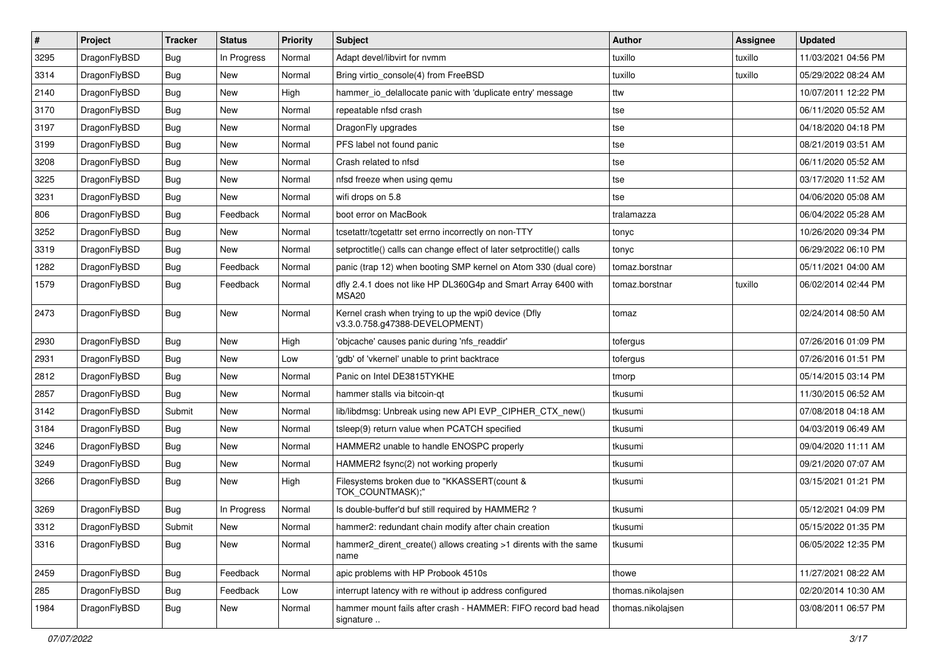| $\pmb{\#}$ | Project      | <b>Tracker</b> | <b>Status</b> | <b>Priority</b> | <b>Subject</b>                                                                         | <b>Author</b>     | Assignee | <b>Updated</b>      |
|------------|--------------|----------------|---------------|-----------------|----------------------------------------------------------------------------------------|-------------------|----------|---------------------|
| 3295       | DragonFlyBSD | Bug            | In Progress   | Normal          | Adapt devel/libvirt for nvmm                                                           | tuxillo           | tuxillo  | 11/03/2021 04:56 PM |
| 3314       | DragonFlyBSD | Bug            | <b>New</b>    | Normal          | Bring virtio_console(4) from FreeBSD                                                   | tuxillo           | tuxillo  | 05/29/2022 08:24 AM |
| 2140       | DragonFlyBSD | Bug            | New           | High            | hammer_io_delallocate panic with 'duplicate entry' message                             | ttw               |          | 10/07/2011 12:22 PM |
| 3170       | DragonFlyBSD | Bug            | New           | Normal          | repeatable nfsd crash                                                                  | tse               |          | 06/11/2020 05:52 AM |
| 3197       | DragonFlyBSD | Bug            | <b>New</b>    | Normal          | DragonFly upgrades                                                                     | tse               |          | 04/18/2020 04:18 PM |
| 3199       | DragonFlyBSD | Bug            | New           | Normal          | PFS label not found panic                                                              | tse               |          | 08/21/2019 03:51 AM |
| 3208       | DragonFlyBSD | Bug            | New           | Normal          | Crash related to nfsd                                                                  | tse               |          | 06/11/2020 05:52 AM |
| 3225       | DragonFlyBSD | Bug            | <b>New</b>    | Normal          | nfsd freeze when using gemu                                                            | tse               |          | 03/17/2020 11:52 AM |
| 3231       | DragonFlyBSD | Bug            | <b>New</b>    | Normal          | wifi drops on 5.8                                                                      | tse               |          | 04/06/2020 05:08 AM |
| 806        | DragonFlyBSD | Bug            | Feedback      | Normal          | boot error on MacBook                                                                  | tralamazza        |          | 06/04/2022 05:28 AM |
| 3252       | DragonFlyBSD | <b>Bug</b>     | New           | Normal          | tcsetattr/tcgetattr set errno incorrectly on non-TTY                                   | tonyc             |          | 10/26/2020 09:34 PM |
| 3319       | DragonFlyBSD | Bug            | New           | Normal          | setproctitle() calls can change effect of later setproctitle() calls                   | tonyc             |          | 06/29/2022 06:10 PM |
| 1282       | DragonFlyBSD | <b>Bug</b>     | Feedback      | Normal          | panic (trap 12) when booting SMP kernel on Atom 330 (dual core)                        | tomaz.borstnar    |          | 05/11/2021 04:00 AM |
| 1579       | DragonFlyBSD | Bug            | Feedback      | Normal          | dfly 2.4.1 does not like HP DL360G4p and Smart Array 6400 with<br>MSA20                | tomaz.borstnar    | tuxillo  | 06/02/2014 02:44 PM |
| 2473       | DragonFlyBSD | <b>Bug</b>     | New           | Normal          | Kernel crash when trying to up the wpi0 device (Dfly<br>v3.3.0.758.g47388-DEVELOPMENT) | tomaz             |          | 02/24/2014 08:50 AM |
| 2930       | DragonFlyBSD | Bug            | <b>New</b>    | High            | 'objcache' causes panic during 'nfs_readdir'                                           | tofergus          |          | 07/26/2016 01:09 PM |
| 2931       | DragonFlyBSD | Bug            | New           | Low             | 'gdb' of 'vkernel' unable to print backtrace                                           | tofergus          |          | 07/26/2016 01:51 PM |
| 2812       | DragonFlyBSD | Bug            | New           | Normal          | Panic on Intel DE3815TYKHE                                                             | tmorp             |          | 05/14/2015 03:14 PM |
| 2857       | DragonFlyBSD | Bug            | <b>New</b>    | Normal          | hammer stalls via bitcoin-qt                                                           | tkusumi           |          | 11/30/2015 06:52 AM |
| 3142       | DragonFlyBSD | Submit         | <b>New</b>    | Normal          | lib/libdmsg: Unbreak using new API EVP_CIPHER_CTX_new()                                | tkusumi           |          | 07/08/2018 04:18 AM |
| 3184       | DragonFlyBSD | Bug            | New           | Normal          | tsleep(9) return value when PCATCH specified                                           | tkusumi           |          | 04/03/2019 06:49 AM |
| 3246       | DragonFlyBSD | Bug            | <b>New</b>    | Normal          | HAMMER2 unable to handle ENOSPC properly                                               | tkusumi           |          | 09/04/2020 11:11 AM |
| 3249       | DragonFlyBSD | Bug            | New           | Normal          | HAMMER2 fsync(2) not working properly                                                  | tkusumi           |          | 09/21/2020 07:07 AM |
| 3266       | DragonFlyBSD | Bug            | <b>New</b>    | High            | Filesystems broken due to "KKASSERT(count &<br>TOK COUNTMASK);"                        | tkusumi           |          | 03/15/2021 01:21 PM |
| 3269       | DragonFlyBSD | <b>Bug</b>     | In Progress   | Normal          | Is double-buffer'd buf still required by HAMMER2?                                      | tkusumi           |          | 05/12/2021 04:09 PM |
| 3312       | DragonFlyBSD | Submit         | New           | Normal          | hammer2: redundant chain modify after chain creation                                   | tkusumi           |          | 05/15/2022 01:35 PM |
| 3316       | DragonFlyBSD | Bug            | New           | Normal          | hammer2 dirent create() allows creating >1 dirents with the same<br>name               | tkusumi           |          | 06/05/2022 12:35 PM |
| 2459       | DragonFlyBSD | <b>Bug</b>     | Feedback      | Normal          | apic problems with HP Probook 4510s                                                    | thowe             |          | 11/27/2021 08:22 AM |
| 285        | DragonFlyBSD | Bug            | Feedback      | Low             | interrupt latency with re without ip address configured                                | thomas.nikolajsen |          | 02/20/2014 10:30 AM |
| 1984       | DragonFlyBSD | Bug            | New           | Normal          | hammer mount fails after crash - HAMMER: FIFO record bad head<br>signature             | thomas.nikolajsen |          | 03/08/2011 06:57 PM |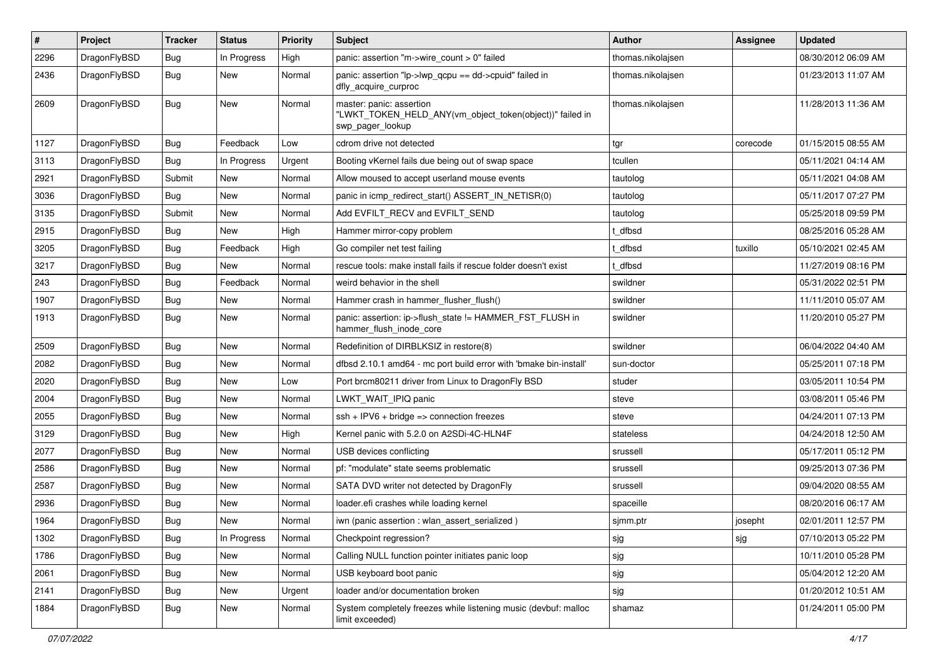| #    | Project      | <b>Tracker</b> | <b>Status</b> | <b>Priority</b> | Subject                                                                                                  | Author            | Assignee | <b>Updated</b>      |
|------|--------------|----------------|---------------|-----------------|----------------------------------------------------------------------------------------------------------|-------------------|----------|---------------------|
| 2296 | DragonFlyBSD | Bug            | In Progress   | High            | panic: assertion "m->wire count > 0" failed                                                              | thomas.nikolajsen |          | 08/30/2012 06:09 AM |
| 2436 | DragonFlyBSD | Bug            | New           | Normal          | panic: assertion "lp->lwp_qcpu == dd->cpuid" failed in<br>dfly_acquire_curproc                           | thomas.nikolajsen |          | 01/23/2013 11:07 AM |
| 2609 | DragonFlyBSD | <b>Bug</b>     | New           | Normal          | master: panic: assertion<br>"LWKT_TOKEN_HELD_ANY(vm_object_token(object))" failed in<br>swp_pager_lookup | thomas.nikolajsen |          | 11/28/2013 11:36 AM |
| 1127 | DragonFlyBSD | <b>Bug</b>     | Feedback      | Low             | cdrom drive not detected                                                                                 | tgr               | corecode | 01/15/2015 08:55 AM |
| 3113 | DragonFlyBSD | <b>Bug</b>     | In Progress   | Urgent          | Booting vKernel fails due being out of swap space                                                        | tcullen           |          | 05/11/2021 04:14 AM |
| 2921 | DragonFlyBSD | Submit         | New           | Normal          | Allow moused to accept userland mouse events                                                             | tautolog          |          | 05/11/2021 04:08 AM |
| 3036 | DragonFlyBSD | Bug            | <b>New</b>    | Normal          | panic in icmp_redirect_start() ASSERT_IN_NETISR(0)                                                       | tautolog          |          | 05/11/2017 07:27 PM |
| 3135 | DragonFlyBSD | Submit         | New           | Normal          | Add EVFILT_RECV and EVFILT_SEND                                                                          | tautolog          |          | 05/25/2018 09:59 PM |
| 2915 | DragonFlyBSD | Bug            | New           | High            | Hammer mirror-copy problem                                                                               | t dfbsd           |          | 08/25/2016 05:28 AM |
| 3205 | DragonFlyBSD | Bug            | Feedback      | High            | Go compiler net test failing                                                                             | : dfbsd           | tuxillo  | 05/10/2021 02:45 AM |
| 3217 | DragonFlyBSD | <b>Bug</b>     | New           | Normal          | rescue tools: make install fails if rescue folder doesn't exist                                          | t_dfbsd           |          | 11/27/2019 08:16 PM |
| 243  | DragonFlyBSD | <b>Bug</b>     | Feedback      | Normal          | weird behavior in the shell                                                                              | swildner          |          | 05/31/2022 02:51 PM |
| 1907 | DragonFlyBSD | <b>Bug</b>     | New           | Normal          | Hammer crash in hammer flusher flush()                                                                   | swildner          |          | 11/11/2010 05:07 AM |
| 1913 | DragonFlyBSD | Bug            | New           | Normal          | panic: assertion: ip->flush_state != HAMMER_FST_FLUSH in<br>hammer_flush_inode_core                      | swildner          |          | 11/20/2010 05:27 PM |
| 2509 | DragonFlyBSD | Bug            | <b>New</b>    | Normal          | Redefinition of DIRBLKSIZ in restore(8)                                                                  | swildner          |          | 06/04/2022 04:40 AM |
| 2082 | DragonFlyBSD | Bug            | <b>New</b>    | Normal          | dfbsd 2.10.1 amd64 - mc port build error with 'bmake bin-install'                                        | sun-doctor        |          | 05/25/2011 07:18 PM |
| 2020 | DragonFlyBSD | <b>Bug</b>     | New           | Low             | Port brcm80211 driver from Linux to DragonFly BSD                                                        | studer            |          | 03/05/2011 10:54 PM |
| 2004 | DragonFlyBSD | Bug            | New           | Normal          | LWKT WAIT IPIQ panic                                                                                     | steve             |          | 03/08/2011 05:46 PM |
| 2055 | DragonFlyBSD | <b>Bug</b>     | <b>New</b>    | Normal          | ssh + IPV6 + bridge => connection freezes                                                                | steve             |          | 04/24/2011 07:13 PM |
| 3129 | DragonFlyBSD | <b>Bug</b>     | New           | High            | Kernel panic with 5.2.0 on A2SDi-4C-HLN4F                                                                | stateless         |          | 04/24/2018 12:50 AM |
| 2077 | DragonFlyBSD | Bug            | New           | Normal          | USB devices conflicting                                                                                  | srussell          |          | 05/17/2011 05:12 PM |
| 2586 | DragonFlyBSD | Bug            | <b>New</b>    | Normal          | pf: "modulate" state seems problematic                                                                   | srussell          |          | 09/25/2013 07:36 PM |
| 2587 | DragonFlyBSD | <b>Bug</b>     | New           | Normal          | SATA DVD writer not detected by DragonFly                                                                | srussell          |          | 09/04/2020 08:55 AM |
| 2936 | DragonFlyBSD | <b>Bug</b>     | <b>New</b>    | Normal          | loader.efi crashes while loading kernel                                                                  | spaceille         |          | 08/20/2016 06:17 AM |
| 1964 | DragonFlyBSD | <b>Bug</b>     | New           | Normal          | iwn (panic assertion : wlan assert serialized)                                                           | sjmm.ptr          | josepht  | 02/01/2011 12:57 PM |
| 1302 | DragonFlyBSD | <b>Bug</b>     | In Progress   | Normal          | Checkpoint regression?                                                                                   | sjg               | sjg      | 07/10/2013 05:22 PM |
| 1786 | DragonFlyBSD | <b>Bug</b>     | New           | Normal          | Calling NULL function pointer initiates panic loop                                                       | sjg               |          | 10/11/2010 05:28 PM |
| 2061 | DragonFlyBSD | <b>Bug</b>     | New           | Normal          | USB keyboard boot panic                                                                                  | sjg               |          | 05/04/2012 12:20 AM |
| 2141 | DragonFlyBSD | <b>Bug</b>     | New           | Urgent          | loader and/or documentation broken                                                                       | sjg               |          | 01/20/2012 10:51 AM |
| 1884 | DragonFlyBSD | <b>Bug</b>     | New           | Normal          | System completely freezes while listening music (devbuf: malloc<br>limit exceeded)                       | shamaz            |          | 01/24/2011 05:00 PM |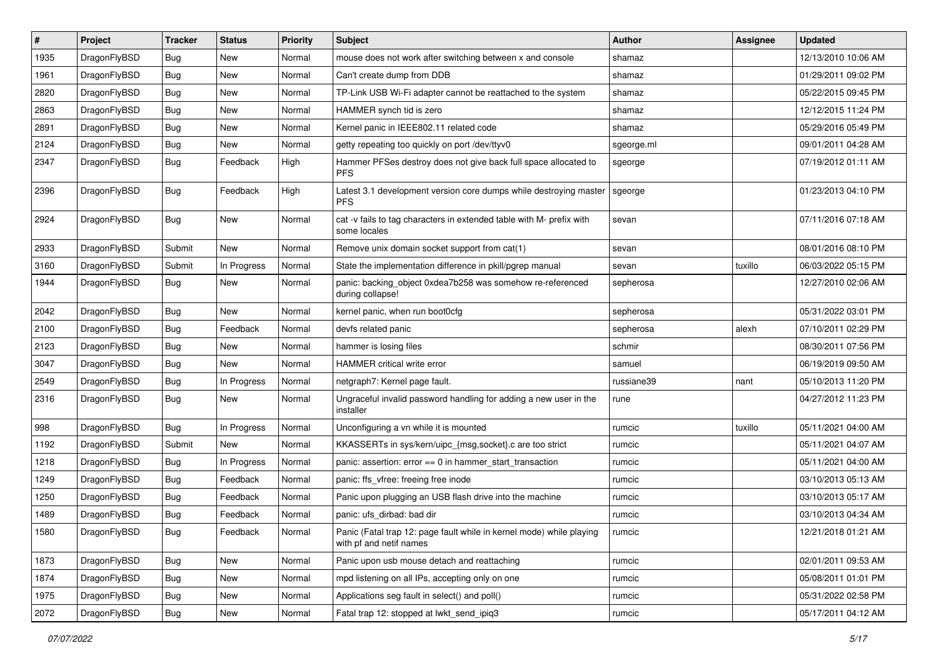| $\sharp$ | Project      | <b>Tracker</b> | <b>Status</b> | <b>Priority</b> | Subject                                                                                         | Author     | Assignee | <b>Updated</b>      |
|----------|--------------|----------------|---------------|-----------------|-------------------------------------------------------------------------------------------------|------------|----------|---------------------|
| 1935     | DragonFlyBSD | Bug            | New           | Normal          | mouse does not work after switching between x and console                                       | shamaz     |          | 12/13/2010 10:06 AM |
| 1961     | DragonFlyBSD | Bug            | New           | Normal          | Can't create dump from DDB                                                                      | shamaz     |          | 01/29/2011 09:02 PM |
| 2820     | DragonFlyBSD | <b>Bug</b>     | New           | Normal          | TP-Link USB Wi-Fi adapter cannot be reattached to the system                                    | shamaz     |          | 05/22/2015 09:45 PM |
| 2863     | DragonFlyBSD | Bug            | <b>New</b>    | Normal          | HAMMER synch tid is zero                                                                        | shamaz     |          | 12/12/2015 11:24 PM |
| 2891     | DragonFlyBSD | Bug            | <b>New</b>    | Normal          | Kernel panic in IEEE802.11 related code                                                         | shamaz     |          | 05/29/2016 05:49 PM |
| 2124     | DragonFlyBSD | Bug            | New           | Normal          | getty repeating too quickly on port /dev/ttyv0                                                  | sgeorge.ml |          | 09/01/2011 04:28 AM |
| 2347     | DragonFlyBSD | Bug            | Feedback      | High            | Hammer PFSes destroy does not give back full space allocated to<br><b>PFS</b>                   | sgeorge    |          | 07/19/2012 01:11 AM |
| 2396     | DragonFlyBSD | Bug            | Feedback      | High            | Latest 3.1 development version core dumps while destroying master<br><b>PFS</b>                 | sgeorge    |          | 01/23/2013 04:10 PM |
| 2924     | DragonFlyBSD | Bug            | New           | Normal          | cat -v fails to tag characters in extended table with M- prefix with<br>some locales            | sevan      |          | 07/11/2016 07:18 AM |
| 2933     | DragonFlyBSD | Submit         | <b>New</b>    | Normal          | Remove unix domain socket support from cat(1)                                                   | sevan      |          | 08/01/2016 08:10 PM |
| 3160     | DragonFlyBSD | Submit         | In Progress   | Normal          | State the implementation difference in pkill/pgrep manual                                       | sevan      | tuxillo  | 06/03/2022 05:15 PM |
| 1944     | DragonFlyBSD | Bug            | New           | Normal          | panic: backing_object 0xdea7b258 was somehow re-referenced<br>during collapse!                  | sepherosa  |          | 12/27/2010 02:06 AM |
| 2042     | DragonFlyBSD | Bug            | New           | Normal          | kernel panic, when run boot0cfg                                                                 | sepherosa  |          | 05/31/2022 03:01 PM |
| 2100     | DragonFlyBSD | Bug            | Feedback      | Normal          | devfs related panic                                                                             | sepherosa  | alexh    | 07/10/2011 02:29 PM |
| 2123     | DragonFlyBSD | Bug            | New           | Normal          | hammer is losing files                                                                          | schmir     |          | 08/30/2011 07:56 PM |
| 3047     | DragonFlyBSD | Bug            | New           | Normal          | <b>HAMMER</b> critical write error                                                              | samuel     |          | 06/19/2019 09:50 AM |
| 2549     | DragonFlyBSD | Bug            | In Progress   | Normal          | netgraph7: Kernel page fault.                                                                   | russiane39 | nant     | 05/10/2013 11:20 PM |
| 2316     | DragonFlyBSD | <b>Bug</b>     | New           | Normal          | Ungraceful invalid password handling for adding a new user in the<br>installer                  | rune       |          | 04/27/2012 11:23 PM |
| 998      | DragonFlyBSD | <b>Bug</b>     | In Progress   | Normal          | Unconfiguring a vn while it is mounted                                                          | rumcic     | tuxillo  | 05/11/2021 04:00 AM |
| 1192     | DragonFlyBSD | Submit         | New           | Normal          | KKASSERTs in sys/kern/uipc_{msg,socket}.c are too strict                                        | rumcic     |          | 05/11/2021 04:07 AM |
| 1218     | DragonFlyBSD | Bug            | In Progress   | Normal          | panic: assertion: error == 0 in hammer_start_transaction                                        | rumcic     |          | 05/11/2021 04:00 AM |
| 1249     | DragonFlyBSD | <b>Bug</b>     | Feedback      | Normal          | panic: ffs_vfree: freeing free inode                                                            | rumcic     |          | 03/10/2013 05:13 AM |
| 1250     | DragonFlyBSD | <b>Bug</b>     | Feedback      | Normal          | Panic upon plugging an USB flash drive into the machine                                         | rumcic     |          | 03/10/2013 05:17 AM |
| 1489     | DragonFlyBSD | <b>Bug</b>     | Feedback      | Normal          | panic: ufs_dirbad: bad dir                                                                      | rumcic     |          | 03/10/2013 04:34 AM |
| 1580     | DragonFlyBSD | <b>Bug</b>     | Feedback      | Normal          | Panic (Fatal trap 12: page fault while in kernel mode) while playing<br>with pf and netif names | rumcic     |          | 12/21/2018 01:21 AM |
| 1873     | DragonFlyBSD | Bug            | <b>New</b>    | Normal          | Panic upon usb mouse detach and reattaching                                                     | rumcic     |          | 02/01/2011 09:53 AM |
| 1874     | DragonFlyBSD | <b>Bug</b>     | New           | Normal          | mpd listening on all IPs, accepting only on one                                                 | rumcic     |          | 05/08/2011 01:01 PM |
| 1975     | DragonFlyBSD | Bug            | New           | Normal          | Applications seg fault in select() and poll()                                                   | rumcic     |          | 05/31/2022 02:58 PM |
| 2072     | DragonFlyBSD | <b>Bug</b>     | New           | Normal          | Fatal trap 12: stopped at lwkt_send_ipiq3                                                       | rumcic     |          | 05/17/2011 04:12 AM |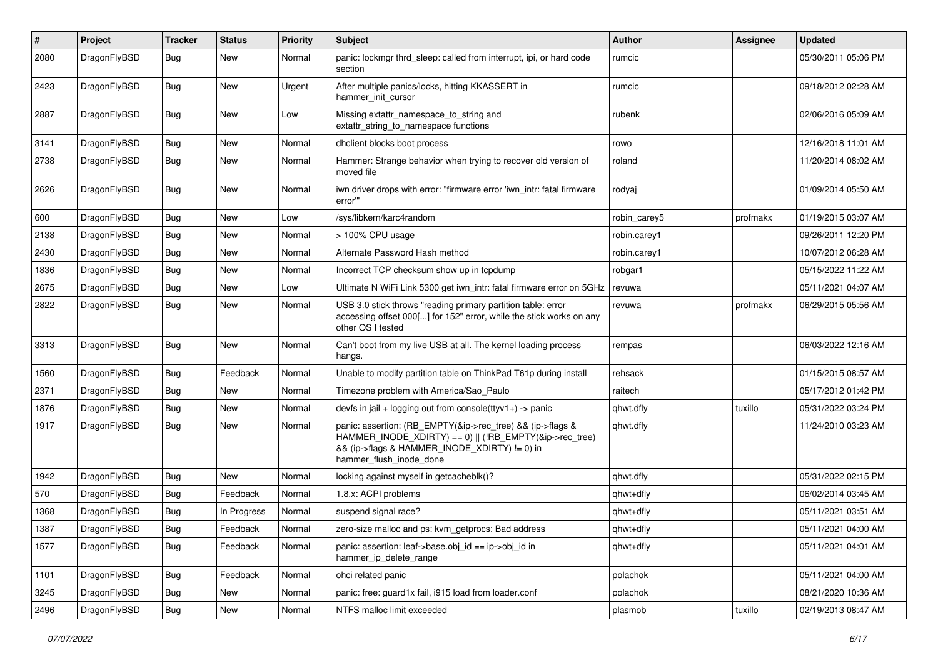| #    | Project      | <b>Tracker</b> | <b>Status</b> | <b>Priority</b> | Subject                                                                                                                                                                                           | Author       | Assignee | <b>Updated</b>      |
|------|--------------|----------------|---------------|-----------------|---------------------------------------------------------------------------------------------------------------------------------------------------------------------------------------------------|--------------|----------|---------------------|
| 2080 | DragonFlyBSD | Bug            | <b>New</b>    | Normal          | panic: lockmgr thrd sleep: called from interrupt, ipi, or hard code<br>section                                                                                                                    | rumcic       |          | 05/30/2011 05:06 PM |
| 2423 | DragonFlyBSD | Bug            | <b>New</b>    | Urgent          | After multiple panics/locks, hitting KKASSERT in<br>hammer init cursor                                                                                                                            | rumcic       |          | 09/18/2012 02:28 AM |
| 2887 | DragonFlyBSD | <b>Bug</b>     | <b>New</b>    | Low             | Missing extattr_namespace_to_string and<br>extattr string to namespace functions                                                                                                                  | rubenk       |          | 02/06/2016 05:09 AM |
| 3141 | DragonFlyBSD | Bug            | <b>New</b>    | Normal          | dhclient blocks boot process                                                                                                                                                                      | rowo         |          | 12/16/2018 11:01 AM |
| 2738 | DragonFlyBSD | <b>Bug</b>     | New           | Normal          | Hammer: Strange behavior when trying to recover old version of<br>moved file                                                                                                                      | roland       |          | 11/20/2014 08:02 AM |
| 2626 | DragonFlyBSD | Bug            | <b>New</b>    | Normal          | iwn driver drops with error: "firmware error 'iwn_intr: fatal firmware<br>error"                                                                                                                  | rodyaj       |          | 01/09/2014 05:50 AM |
| 600  | DragonFlyBSD | Bug            | <b>New</b>    | Low             | /sys/libkern/karc4random                                                                                                                                                                          | robin carey5 | profmakx | 01/19/2015 03:07 AM |
| 2138 | DragonFlyBSD | <b>Bug</b>     | New           | Normal          | > 100% CPU usage                                                                                                                                                                                  | robin.carey1 |          | 09/26/2011 12:20 PM |
| 2430 | DragonFlyBSD | <b>Bug</b>     | New           | Normal          | Alternate Password Hash method                                                                                                                                                                    | robin.carey1 |          | 10/07/2012 06:28 AM |
| 1836 | DragonFlyBSD | Bug            | New           | Normal          | Incorrect TCP checksum show up in tcpdump                                                                                                                                                         | robgar1      |          | 05/15/2022 11:22 AM |
| 2675 | DragonFlyBSD | Bug            | New           | Low             | Ultimate N WiFi Link 5300 get iwn intr: fatal firmware error on 5GHz                                                                                                                              | revuwa       |          | 05/11/2021 04:07 AM |
| 2822 | DragonFlyBSD | Bug            | New           | Normal          | USB 3.0 stick throws "reading primary partition table: error<br>accessing offset 000[] for 152" error, while the stick works on any<br>other OS I tested                                          | revuwa       | profmakx | 06/29/2015 05:56 AM |
| 3313 | DragonFlyBSD | Bug            | <b>New</b>    | Normal          | Can't boot from my live USB at all. The kernel loading process<br>hangs.                                                                                                                          | rempas       |          | 06/03/2022 12:16 AM |
| 1560 | DragonFlyBSD | <b>Bug</b>     | Feedback      | Normal          | Unable to modify partition table on ThinkPad T61p during install                                                                                                                                  | rehsack      |          | 01/15/2015 08:57 AM |
| 2371 | DragonFlyBSD | Bug            | New           | Normal          | Timezone problem with America/Sao Paulo                                                                                                                                                           | raitech      |          | 05/17/2012 01:42 PM |
| 1876 | DragonFlyBSD | <b>Bug</b>     | <b>New</b>    | Normal          | devfs in jail + logging out from console(ttyv1+) -> panic                                                                                                                                         | qhwt.dfly    | tuxillo  | 05/31/2022 03:24 PM |
| 1917 | DragonFlyBSD | <b>Bug</b>     | New           | Normal          | panic: assertion: (RB_EMPTY(&ip->rec_tree) && (ip->flags &<br>HAMMER_INODE_XDIRTY) == 0)    (!RB_EMPTY(&ip->rec_tree)<br>&& (ip->flags & HAMMER_INODE_XDIRTY) != 0) in<br>hammer_flush_inode_done | qhwt.dfly    |          | 11/24/2010 03:23 AM |
| 1942 | DragonFlyBSD | Bug            | <b>New</b>    | Normal          | locking against myself in getcacheblk()?                                                                                                                                                          | qhwt.dfly    |          | 05/31/2022 02:15 PM |
| 570  | DragonFlyBSD | Bug            | Feedback      | Normal          | 1.8.x: ACPI problems                                                                                                                                                                              | qhwt+dfly    |          | 06/02/2014 03:45 AM |
| 1368 | DragonFlyBSD | Bug            | In Progress   | Normal          | suspend signal race?                                                                                                                                                                              | qhwt+dfly    |          | 05/11/2021 03:51 AM |
| 1387 | DragonFlyBSD | <b>Bug</b>     | Feedback      | Normal          | zero-size malloc and ps: kvm_getprocs: Bad address                                                                                                                                                | qhwt+dfly    |          | 05/11/2021 04:00 AM |
| 1577 | DragonFlyBSD | <b>Bug</b>     | Feedback      | Normal          | panic: assertion: leaf->base.obj_id == ip->obj_id in<br>hammer_ip_delete_range                                                                                                                    | qhwt+dfly    |          | 05/11/2021 04:01 AM |
| 1101 | DragonFlyBSD | Bug            | Feedback      | Normal          | ohci related panic                                                                                                                                                                                | polachok     |          | 05/11/2021 04:00 AM |
| 3245 | DragonFlyBSD | <b>Bug</b>     | New           | Normal          | panic: free: guard1x fail, i915 load from loader.conf                                                                                                                                             | polachok     |          | 08/21/2020 10:36 AM |
| 2496 | DragonFlyBSD | <b>Bug</b>     | New           | Normal          | NTFS malloc limit exceeded                                                                                                                                                                        | plasmob      | tuxillo  | 02/19/2013 08:47 AM |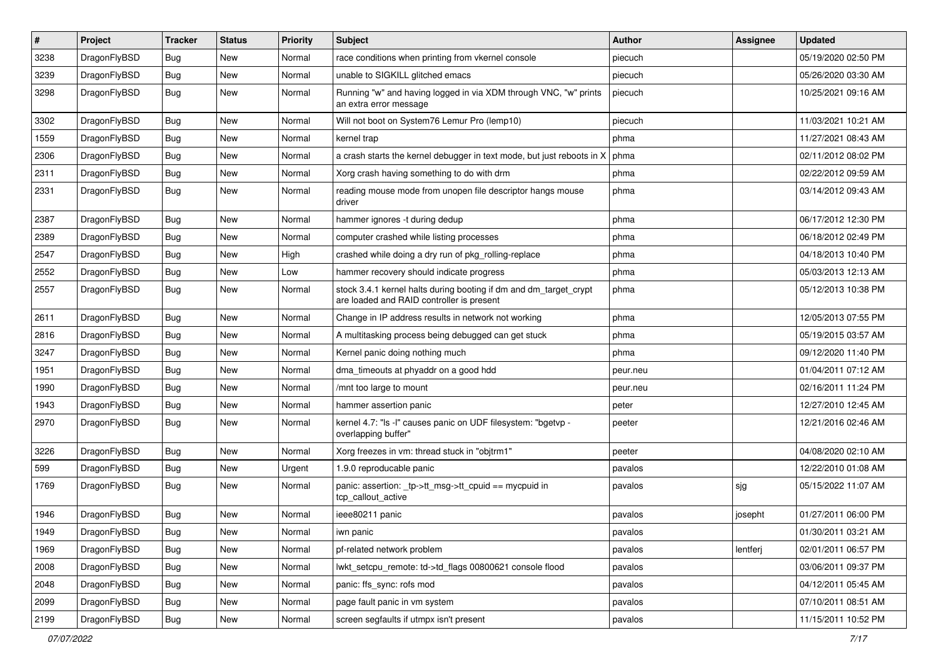| $\sharp$ | Project      | <b>Tracker</b> | <b>Status</b> | <b>Priority</b> | Subject                                                                                                        | Author   | Assignee | <b>Updated</b>      |
|----------|--------------|----------------|---------------|-----------------|----------------------------------------------------------------------------------------------------------------|----------|----------|---------------------|
| 3238     | DragonFlyBSD | <b>Bug</b>     | New           | Normal          | race conditions when printing from vkernel console                                                             | piecuch  |          | 05/19/2020 02:50 PM |
| 3239     | DragonFlyBSD | Bug            | New           | Normal          | unable to SIGKILL glitched emacs                                                                               | piecuch  |          | 05/26/2020 03:30 AM |
| 3298     | DragonFlyBSD | <b>Bug</b>     | New           | Normal          | Running "w" and having logged in via XDM through VNC, "w" prints<br>an extra error message                     | piecuch  |          | 10/25/2021 09:16 AM |
| 3302     | DragonFlyBSD | Bug            | <b>New</b>    | Normal          | Will not boot on System76 Lemur Pro (lemp10)                                                                   | piecuch  |          | 11/03/2021 10:21 AM |
| 1559     | DragonFlyBSD | <b>Bug</b>     | New           | Normal          | kernel trap                                                                                                    | phma     |          | 11/27/2021 08:43 AM |
| 2306     | DragonFlyBSD | <b>Bug</b>     | New           | Normal          | a crash starts the kernel debugger in text mode, but just reboots in X                                         | phma     |          | 02/11/2012 08:02 PM |
| 2311     | DragonFlyBSD | <b>Bug</b>     | <b>New</b>    | Normal          | Xorg crash having something to do with drm                                                                     | phma     |          | 02/22/2012 09:59 AM |
| 2331     | DragonFlyBSD | <b>Bug</b>     | New           | Normal          | reading mouse mode from unopen file descriptor hangs mouse<br>driver                                           | phma     |          | 03/14/2012 09:43 AM |
| 2387     | DragonFlyBSD | Bug            | <b>New</b>    | Normal          | hammer ignores -t during dedup                                                                                 | phma     |          | 06/17/2012 12:30 PM |
| 2389     | DragonFlyBSD | <b>Bug</b>     | <b>New</b>    | Normal          | computer crashed while listing processes                                                                       | phma     |          | 06/18/2012 02:49 PM |
| 2547     | DragonFlyBSD | <b>Bug</b>     | New           | High            | crashed while doing a dry run of pkg_rolling-replace                                                           | phma     |          | 04/18/2013 10:40 PM |
| 2552     | DragonFlyBSD | <b>Bug</b>     | New           | Low             | hammer recovery should indicate progress                                                                       | phma     |          | 05/03/2013 12:13 AM |
| 2557     | DragonFlyBSD | <b>Bug</b>     | New           | Normal          | stock 3.4.1 kernel halts during booting if dm and dm_target_crypt<br>are loaded and RAID controller is present | phma     |          | 05/12/2013 10:38 PM |
| 2611     | DragonFlyBSD | Bug            | <b>New</b>    | Normal          | Change in IP address results in network not working                                                            | phma     |          | 12/05/2013 07:55 PM |
| 2816     | DragonFlyBSD | Bug            | <b>New</b>    | Normal          | A multitasking process being debugged can get stuck                                                            | phma     |          | 05/19/2015 03:57 AM |
| 3247     | DragonFlyBSD | <b>Bug</b>     | New           | Normal          | Kernel panic doing nothing much                                                                                | phma     |          | 09/12/2020 11:40 PM |
| 1951     | DragonFlyBSD | Bug            | <b>New</b>    | Normal          | dma_timeouts at phyaddr on a good hdd                                                                          | peur.neu |          | 01/04/2011 07:12 AM |
| 1990     | DragonFlyBSD | <b>Bug</b>     | New           | Normal          | /mnt too large to mount                                                                                        | peur.neu |          | 02/16/2011 11:24 PM |
| 1943     | DragonFlyBSD | Bug            | New           | Normal          | hammer assertion panic                                                                                         | peter    |          | 12/27/2010 12:45 AM |
| 2970     | DragonFlyBSD | <b>Bug</b>     | New           | Normal          | kernel 4.7: "Is -I" causes panic on UDF filesystem: "bgetvp -<br>overlapping buffer"                           | peeter   |          | 12/21/2016 02:46 AM |
| 3226     | DragonFlyBSD | Bug            | New           | Normal          | Xorg freezes in vm: thread stuck in "objtrm1"                                                                  | peeter   |          | 04/08/2020 02:10 AM |
| 599      | DragonFlyBSD | Bug            | New           | Urgent          | 1.9.0 reproducable panic                                                                                       | pavalos  |          | 12/22/2010 01:08 AM |
| 1769     | DragonFlyBSD | Bug            | New           | Normal          | panic: assertion: _tp->tt_msg->tt_cpuid == mycpuid in<br>tcp_callout_active                                    | pavalos  | sjg      | 05/15/2022 11:07 AM |
| 1946     | DragonFlyBSD | <b>Bug</b>     | New           | Normal          | ieee80211 panic                                                                                                | pavalos  | josepht  | 01/27/2011 06:00 PM |
| 1949     | DragonFlyBSD | <b>Bug</b>     | <b>New</b>    | Normal          | iwn panic                                                                                                      | pavalos  |          | 01/30/2011 03:21 AM |
| 1969     | DragonFlyBSD | <b>Bug</b>     | New           | Normal          | pf-related network problem                                                                                     | pavalos  | lentferj | 02/01/2011 06:57 PM |
| 2008     | DragonFlyBSD | <b>Bug</b>     | New           | Normal          | lwkt_setcpu_remote: td->td_flags 00800621 console flood                                                        | pavalos  |          | 03/06/2011 09:37 PM |
| 2048     | DragonFlyBSD | <b>Bug</b>     | New           | Normal          | panic: ffs_sync: rofs mod                                                                                      | pavalos  |          | 04/12/2011 05:45 AM |
| 2099     | DragonFlyBSD | <b>Bug</b>     | <b>New</b>    | Normal          | page fault panic in vm system                                                                                  | pavalos  |          | 07/10/2011 08:51 AM |
| 2199     | DragonFlyBSD | <b>Bug</b>     | New           | Normal          | screen segfaults if utmpx isn't present                                                                        | pavalos  |          | 11/15/2011 10:52 PM |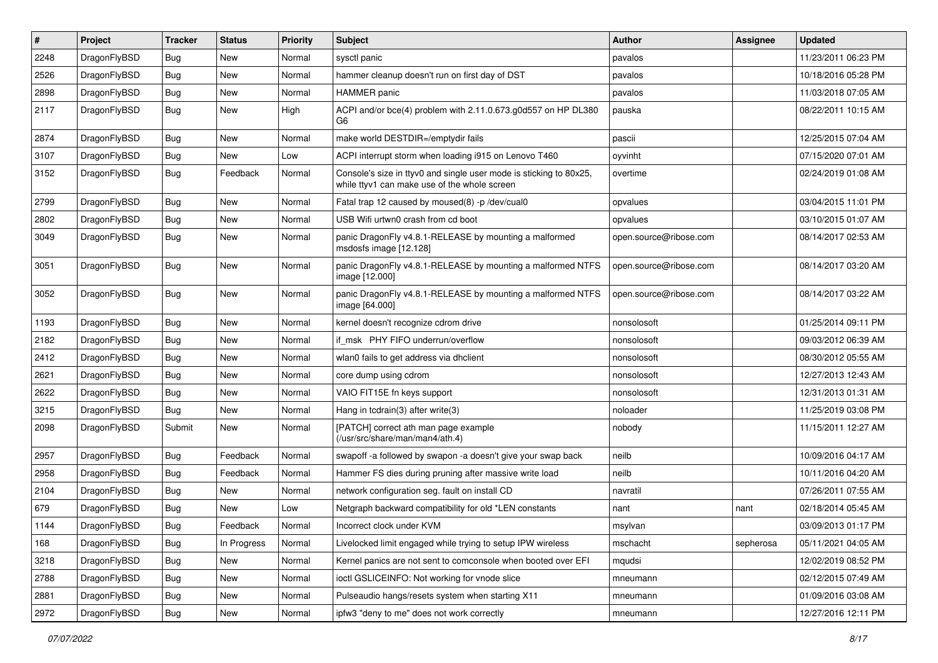| #    | Project      | <b>Tracker</b> | <b>Status</b> | <b>Priority</b> | Subject                                                                                                            | <b>Author</b>          | Assignee  | <b>Updated</b>      |
|------|--------------|----------------|---------------|-----------------|--------------------------------------------------------------------------------------------------------------------|------------------------|-----------|---------------------|
| 2248 | DragonFlyBSD | Bug            | <b>New</b>    | Normal          | sysctl panic                                                                                                       | pavalos                |           | 11/23/2011 06:23 PM |
| 2526 | DragonFlyBSD | <b>Bug</b>     | <b>New</b>    | Normal          | hammer cleanup doesn't run on first day of DST                                                                     | pavalos                |           | 10/18/2016 05:28 PM |
| 2898 | DragonFlyBSD | Bug            | <b>New</b>    | Normal          | HAMMER panic                                                                                                       | pavalos                |           | 11/03/2018 07:05 AM |
| 2117 | DragonFlyBSD | Bug            | <b>New</b>    | High            | ACPI and/or bce(4) problem with 2.11.0.673.g0d557 on HP DL380<br>G6                                                | pauska                 |           | 08/22/2011 10:15 AM |
| 2874 | DragonFlyBSD | <b>Bug</b>     | New           | Normal          | make world DESTDIR=/emptydir fails                                                                                 | pascii                 |           | 12/25/2015 07:04 AM |
| 3107 | DragonFlyBSD | Bug            | New           | Low             | ACPI interrupt storm when loading i915 on Lenovo T460                                                              | oyvinht                |           | 07/15/2020 07:01 AM |
| 3152 | DragonFlyBSD | <b>Bug</b>     | Feedback      | Normal          | Console's size in ttyv0 and single user mode is sticking to 80x25,<br>while ttyv1 can make use of the whole screen | overtime               |           | 02/24/2019 01:08 AM |
| 2799 | DragonFlyBSD | <b>Bug</b>     | <b>New</b>    | Normal          | Fatal trap 12 caused by moused(8) -p /dev/cual0                                                                    | opvalues               |           | 03/04/2015 11:01 PM |
| 2802 | DragonFlyBSD | <b>Bug</b>     | <b>New</b>    | Normal          | USB Wifi urtwn0 crash from cd boot                                                                                 | opvalues               |           | 03/10/2015 01:07 AM |
| 3049 | DragonFlyBSD | <b>Bug</b>     | <b>New</b>    | Normal          | panic DragonFly v4.8.1-RELEASE by mounting a malformed<br>msdosfs image [12.128]                                   | open.source@ribose.com |           | 08/14/2017 02:53 AM |
| 3051 | DragonFlyBSD | <b>Bug</b>     | New           | Normal          | panic DragonFly v4.8.1-RELEASE by mounting a malformed NTFS<br>image [12.000]                                      | open.source@ribose.com |           | 08/14/2017 03:20 AM |
| 3052 | DragonFlyBSD | Bug            | New           | Normal          | panic DragonFly v4.8.1-RELEASE by mounting a malformed NTFS<br>image [64.000]                                      | open.source@ribose.com |           | 08/14/2017 03:22 AM |
| 1193 | DragonFlyBSD | Bug            | <b>New</b>    | Normal          | kernel doesn't recognize cdrom drive                                                                               | nonsolosoft            |           | 01/25/2014 09:11 PM |
| 2182 | DragonFlyBSD | <b>Bug</b>     | <b>New</b>    | Normal          | if msk PHY FIFO underrun/overflow                                                                                  | nonsolosoft            |           | 09/03/2012 06:39 AM |
| 2412 | DragonFlyBSD | Bug            | <b>New</b>    | Normal          | wlan0 fails to get address via dhclient                                                                            | nonsolosoft            |           | 08/30/2012 05:55 AM |
| 2621 | DragonFlyBSD | Bug            | <b>New</b>    | Normal          | core dump using cdrom                                                                                              | nonsolosoft            |           | 12/27/2013 12:43 AM |
| 2622 | DragonFlyBSD | <b>Bug</b>     | <b>New</b>    | Normal          | VAIO FIT15E fn keys support                                                                                        | nonsolosoft            |           | 12/31/2013 01:31 AM |
| 3215 | DragonFlyBSD | Bug            | <b>New</b>    | Normal          | Hang in tcdrain(3) after write(3)                                                                                  | noloader               |           | 11/25/2019 03:08 PM |
| 2098 | DragonFlyBSD | Submit         | New           | Normal          | [PATCH] correct ath man page example<br>(/usr/src/share/man/man4/ath.4)                                            | nobody                 |           | 11/15/2011 12:27 AM |
| 2957 | DragonFlyBSD | Bug            | Feedback      | Normal          | swapoff -a followed by swapon -a doesn't give your swap back                                                       | neilb                  |           | 10/09/2016 04:17 AM |
| 2958 | DragonFlyBSD | <b>Bug</b>     | Feedback      | Normal          | Hammer FS dies during pruning after massive write load                                                             | neilb                  |           | 10/11/2016 04:20 AM |
| 2104 | DragonFlyBSD | Bug            | <b>New</b>    | Normal          | network configuration seg. fault on install CD                                                                     | navratil               |           | 07/26/2011 07:55 AM |
| 679  | DragonFlyBSD | <b>Bug</b>     | <b>New</b>    | Low             | Netgraph backward compatibility for old *LEN constants                                                             | nant                   | nant      | 02/18/2014 05:45 AM |
| 1144 | DragonFlyBSD | Bug            | Feedback      | Normal          | Incorrect clock under KVM                                                                                          | msylvan                |           | 03/09/2013 01:17 PM |
| 168  | DragonFlyBSD | Bug            | In Progress   | Normal          | Livelocked limit engaged while trying to setup IPW wireless                                                        | mschacht               | sepherosa | 05/11/2021 04:05 AM |
| 3218 | DragonFlyBSD | <b>Bug</b>     | New           | Normal          | Kernel panics are not sent to comconsole when booted over EFI                                                      | mqudsi                 |           | 12/02/2019 08:52 PM |
| 2788 | DragonFlyBSD | <b>Bug</b>     | New           | Normal          | ioctl GSLICEINFO: Not working for vnode slice                                                                      | mneumann               |           | 02/12/2015 07:49 AM |
| 2881 | DragonFlyBSD | Bug            | New           | Normal          | Pulseaudio hangs/resets system when starting X11                                                                   | mneumann               |           | 01/09/2016 03:08 AM |
| 2972 | DragonFlyBSD | Bug            | New           | Normal          | ipfw3 "deny to me" does not work correctly                                                                         | mneumann               |           | 12/27/2016 12:11 PM |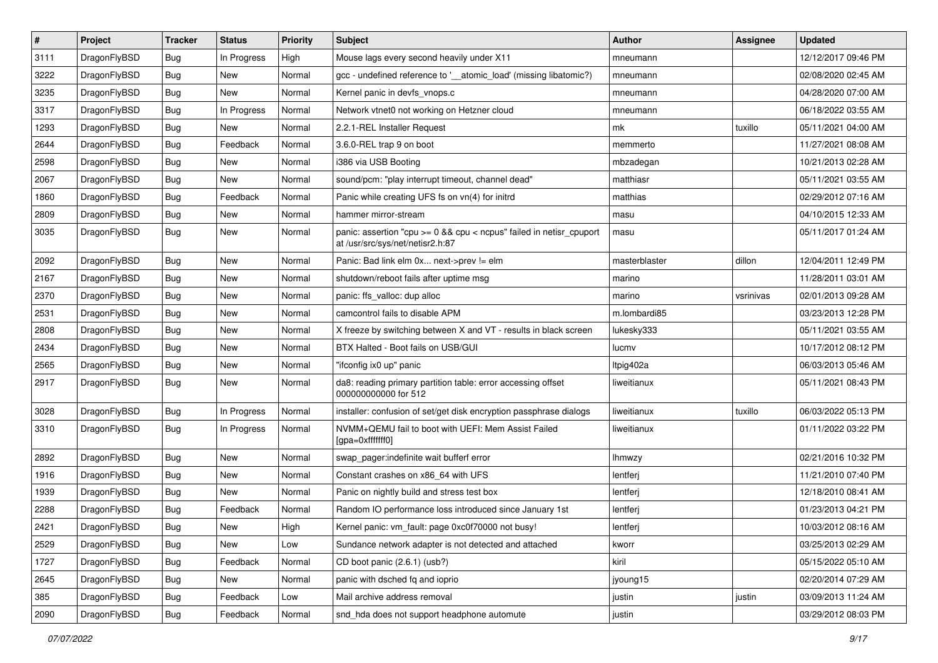| $\sharp$ | Project      | <b>Tracker</b> | <b>Status</b> | <b>Priority</b> | Subject                                                                                                 | <b>Author</b> | Assignee  | <b>Updated</b>      |
|----------|--------------|----------------|---------------|-----------------|---------------------------------------------------------------------------------------------------------|---------------|-----------|---------------------|
| 3111     | DragonFlyBSD | Bug            | In Progress   | High            | Mouse lags every second heavily under X11                                                               | mneumann      |           | 12/12/2017 09:46 PM |
| 3222     | DragonFlyBSD | Bug            | <b>New</b>    | Normal          | gcc - undefined reference to '__atomic_load' (missing libatomic?)                                       | mneumann      |           | 02/08/2020 02:45 AM |
| 3235     | DragonFlyBSD | Bug            | New           | Normal          | Kernel panic in devfs vnops.c                                                                           | mneumann      |           | 04/28/2020 07:00 AM |
| 3317     | DragonFlyBSD | Bug            | In Progress   | Normal          | Network vtnet0 not working on Hetzner cloud                                                             | mneumann      |           | 06/18/2022 03:55 AM |
| 1293     | DragonFlyBSD | Bug            | <b>New</b>    | Normal          | 2.2.1-REL Installer Request                                                                             | mk            | tuxillo   | 05/11/2021 04:00 AM |
| 2644     | DragonFlyBSD | Bug            | Feedback      | Normal          | 3.6.0-REL trap 9 on boot                                                                                | memmerto      |           | 11/27/2021 08:08 AM |
| 2598     | DragonFlyBSD | Bug            | New           | Normal          | i386 via USB Booting                                                                                    | mbzadegan     |           | 10/21/2013 02:28 AM |
| 2067     | DragonFlyBSD | Bug            | New           | Normal          | sound/pcm: "play interrupt timeout, channel dead"                                                       | matthiasr     |           | 05/11/2021 03:55 AM |
| 1860     | DragonFlyBSD | Bug            | Feedback      | Normal          | Panic while creating UFS fs on vn(4) for initrd                                                         | matthias      |           | 02/29/2012 07:16 AM |
| 2809     | DragonFlyBSD | Bug            | New           | Normal          | hammer mirror-stream                                                                                    | masu          |           | 04/10/2015 12:33 AM |
| 3035     | DragonFlyBSD | Bug            | New           | Normal          | panic: assertion "cpu >= 0 && cpu < ncpus" failed in netisr_cpuport<br>at /usr/src/sys/net/netisr2.h:87 | masu          |           | 05/11/2017 01:24 AM |
| 2092     | DragonFlyBSD | Bug            | <b>New</b>    | Normal          | Panic: Bad link elm 0x next->prev != elm                                                                | masterblaster | dillon    | 12/04/2011 12:49 PM |
| 2167     | DragonFlyBSD | <b>Bug</b>     | <b>New</b>    | Normal          | shutdown/reboot fails after uptime msg                                                                  | marino        |           | 11/28/2011 03:01 AM |
| 2370     | DragonFlyBSD | Bug            | New           | Normal          | panic: ffs_valloc: dup alloc                                                                            | marino        | vsrinivas | 02/01/2013 09:28 AM |
| 2531     | DragonFlyBSD | Bug            | <b>New</b>    | Normal          | camcontrol fails to disable APM                                                                         | m.lombardi85  |           | 03/23/2013 12:28 PM |
| 2808     | DragonFlyBSD | <b>Bug</b>     | New           | Normal          | X freeze by switching between X and VT - results in black screen                                        | lukesky333    |           | 05/11/2021 03:55 AM |
| 2434     | DragonFlyBSD | Bug            | New           | Normal          | BTX Halted - Boot fails on USB/GUI                                                                      | lucmv         |           | 10/17/2012 08:12 PM |
| 2565     | DragonFlyBSD | Bug            | New           | Normal          | "ifconfig ix0 up" panic                                                                                 | Itpig402a     |           | 06/03/2013 05:46 AM |
| 2917     | DragonFlyBSD | Bug            | <b>New</b>    | Normal          | da8: reading primary partition table: error accessing offset<br>000000000000 for 512                    | liweitianux   |           | 05/11/2021 08:43 PM |
| 3028     | DragonFlyBSD | Bug            | In Progress   | Normal          | installer: confusion of set/get disk encryption passphrase dialogs                                      | liweitianux   | tuxillo   | 06/03/2022 05:13 PM |
| 3310     | DragonFlyBSD | Bug            | In Progress   | Normal          | NVMM+QEMU fail to boot with UEFI: Mem Assist Failed<br>[gpa=0xfffffff0]                                 | liweitianux   |           | 01/11/2022 03:22 PM |
| 2892     | DragonFlyBSD | Bug            | New           | Normal          | swap_pager:indefinite wait bufferf error                                                                | lhmwzy        |           | 02/21/2016 10:32 PM |
| 1916     | DragonFlyBSD | Bug            | <b>New</b>    | Normal          | Constant crashes on x86_64 with UFS                                                                     | lentferj      |           | 11/21/2010 07:40 PM |
| 1939     | DragonFlyBSD | Bug            | New           | Normal          | Panic on nightly build and stress test box                                                              | lentferj      |           | 12/18/2010 08:41 AM |
| 2288     | DragonFlyBSD | Bug            | Feedback      | Normal          | Random IO performance loss introduced since January 1st                                                 | lentferj      |           | 01/23/2013 04:21 PM |
| 2421     | DragonFlyBSD | Bug            | New           | High            | Kernel panic: vm_fault: page 0xc0f70000 not busy!                                                       | lentferj      |           | 10/03/2012 08:16 AM |
| 2529     | DragonFlyBSD | Bug            | New           | Low             | Sundance network adapter is not detected and attached                                                   | kworr         |           | 03/25/2013 02:29 AM |
| 1727     | DragonFlyBSD | Bug            | Feedback      | Normal          | CD boot panic (2.6.1) (usb?)                                                                            | kiril         |           | 05/15/2022 05:10 AM |
| 2645     | DragonFlyBSD | <b>Bug</b>     | New           | Normal          | panic with dsched fq and ioprio                                                                         | jyoung15      |           | 02/20/2014 07:29 AM |
| 385      | DragonFlyBSD | <b>Bug</b>     | Feedback      | Low             | Mail archive address removal                                                                            | justin        | justin    | 03/09/2013 11:24 AM |
| 2090     | DragonFlyBSD | <b>Bug</b>     | Feedback      | Normal          | snd_hda does not support headphone automute                                                             | justin        |           | 03/29/2012 08:03 PM |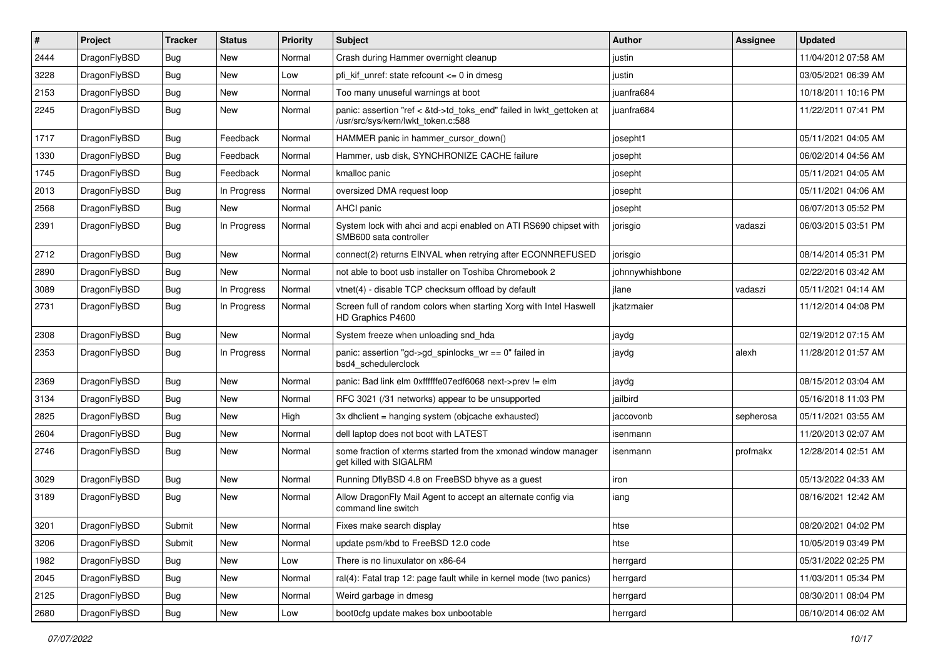| #    | Project      | <b>Tracker</b> | <b>Status</b> | <b>Priority</b> | Subject                                                                                                    | Author          | Assignee  | <b>Updated</b>      |
|------|--------------|----------------|---------------|-----------------|------------------------------------------------------------------------------------------------------------|-----------------|-----------|---------------------|
| 2444 | DragonFlyBSD | Bug            | <b>New</b>    | Normal          | Crash during Hammer overnight cleanup                                                                      | justin          |           | 11/04/2012 07:58 AM |
| 3228 | DragonFlyBSD | Bug            | <b>New</b>    | Low             | pfi_kif_unref: state refcount <= 0 in dmesg                                                                | justin          |           | 03/05/2021 06:39 AM |
| 2153 | DragonFlyBSD | <b>Bug</b>     | New           | Normal          | Too many unuseful warnings at boot                                                                         | juanfra684      |           | 10/18/2011 10:16 PM |
| 2245 | DragonFlyBSD | Bug            | New           | Normal          | panic: assertion "ref < &td->td_toks_end" failed in lwkt_gettoken at<br>/usr/src/sys/kern/lwkt_token.c:588 | juanfra684      |           | 11/22/2011 07:41 PM |
| 1717 | DragonFlyBSD | <b>Bug</b>     | Feedback      | Normal          | HAMMER panic in hammer cursor down()                                                                       | josepht1        |           | 05/11/2021 04:05 AM |
| 1330 | DragonFlyBSD | <b>Bug</b>     | Feedback      | Normal          | Hammer, usb disk, SYNCHRONIZE CACHE failure                                                                | josepht         |           | 06/02/2014 04:56 AM |
| 1745 | DragonFlyBSD | <b>Bug</b>     | Feedback      | Normal          | kmalloc panic                                                                                              | josepht         |           | 05/11/2021 04:05 AM |
| 2013 | DragonFlyBSD | <b>Bug</b>     | In Progress   | Normal          | oversized DMA request loop                                                                                 | josepht         |           | 05/11/2021 04:06 AM |
| 2568 | DragonFlyBSD | Bug            | New           | Normal          | AHCI panic                                                                                                 | josepht         |           | 06/07/2013 05:52 PM |
| 2391 | DragonFlyBSD | Bug            | In Progress   | Normal          | System lock with ahci and acpi enabled on ATI RS690 chipset with<br>SMB600 sata controller                 | jorisgio        | vadaszi   | 06/03/2015 03:51 PM |
| 2712 | DragonFlyBSD | Bug            | New           | Normal          | connect(2) returns EINVAL when retrying after ECONNREFUSED                                                 | jorisgio        |           | 08/14/2014 05:31 PM |
| 2890 | DragonFlyBSD | Bug            | New           | Normal          | not able to boot usb installer on Toshiba Chromebook 2                                                     | johnnywhishbone |           | 02/22/2016 03:42 AM |
| 3089 | DragonFlyBSD | Bug            | In Progress   | Normal          | vtnet(4) - disable TCP checksum offload by default                                                         | jlane           | vadaszi   | 05/11/2021 04:14 AM |
| 2731 | DragonFlyBSD | <b>Bug</b>     | In Progress   | Normal          | Screen full of random colors when starting Xorg with Intel Haswell<br>HD Graphics P4600                    | jkatzmaier      |           | 11/12/2014 04:08 PM |
| 2308 | DragonFlyBSD | Bug            | <b>New</b>    | Normal          | System freeze when unloading snd_hda                                                                       | jaydg           |           | 02/19/2012 07:15 AM |
| 2353 | DragonFlyBSD | <b>Bug</b>     | In Progress   | Normal          | panic: assertion "gd->gd spinlocks $wr == 0$ " failed in<br>bsd4 schedulerclock                            | jaydg           | alexh     | 11/28/2012 01:57 AM |
| 2369 | DragonFlyBSD | Bug            | New           | Normal          | panic: Bad link elm 0xffffffe07edf6068 next->prev != elm                                                   | jaydg           |           | 08/15/2012 03:04 AM |
| 3134 | DragonFlyBSD | Bug            | New           | Normal          | RFC 3021 (/31 networks) appear to be unsupported                                                           | jailbird        |           | 05/16/2018 11:03 PM |
| 2825 | DragonFlyBSD | <b>Bug</b>     | <b>New</b>    | High            | 3x dhclient = hanging system (objcache exhausted)                                                          | jaccovonb       | sepherosa | 05/11/2021 03:55 AM |
| 2604 | DragonFlyBSD | <b>Bug</b>     | New           | Normal          | dell laptop does not boot with LATEST                                                                      | isenmann        |           | 11/20/2013 02:07 AM |
| 2746 | DragonFlyBSD | Bug            | New           | Normal          | some fraction of xterms started from the xmonad window manager<br>get killed with SIGALRM                  | isenmann        | profmakx  | 12/28/2014 02:51 AM |
| 3029 | DragonFlyBSD | <b>Bug</b>     | <b>New</b>    | Normal          | Running DflyBSD 4.8 on FreeBSD bhyve as a guest                                                            | iron            |           | 05/13/2022 04:33 AM |
| 3189 | DragonFlyBSD | Bug            | New           | Normal          | Allow DragonFly Mail Agent to accept an alternate config via<br>command line switch                        | iang            |           | 08/16/2021 12:42 AM |
| 3201 | DragonFlyBSD | Submit         | New           | Normal          | Fixes make search display                                                                                  | htse            |           | 08/20/2021 04:02 PM |
| 3206 | DragonFlyBSD | Submit         | New           | Normal          | update psm/kbd to FreeBSD 12.0 code                                                                        | htse            |           | 10/05/2019 03:49 PM |
| 1982 | DragonFlyBSD | <b>Bug</b>     | New           | Low             | There is no linuxulator on x86-64                                                                          | herrgard        |           | 05/31/2022 02:25 PM |
| 2045 | DragonFlyBSD | <b>Bug</b>     | New           | Normal          | ral(4): Fatal trap 12: page fault while in kernel mode (two panics)                                        | herrgard        |           | 11/03/2011 05:34 PM |
| 2125 | DragonFlyBSD | <b>Bug</b>     | New           | Normal          | Weird garbage in dmesg                                                                                     | herrgard        |           | 08/30/2011 08:04 PM |
| 2680 | DragonFlyBSD | Bug            | New           | Low             | boot0cfg update makes box unbootable                                                                       | herrgard        |           | 06/10/2014 06:02 AM |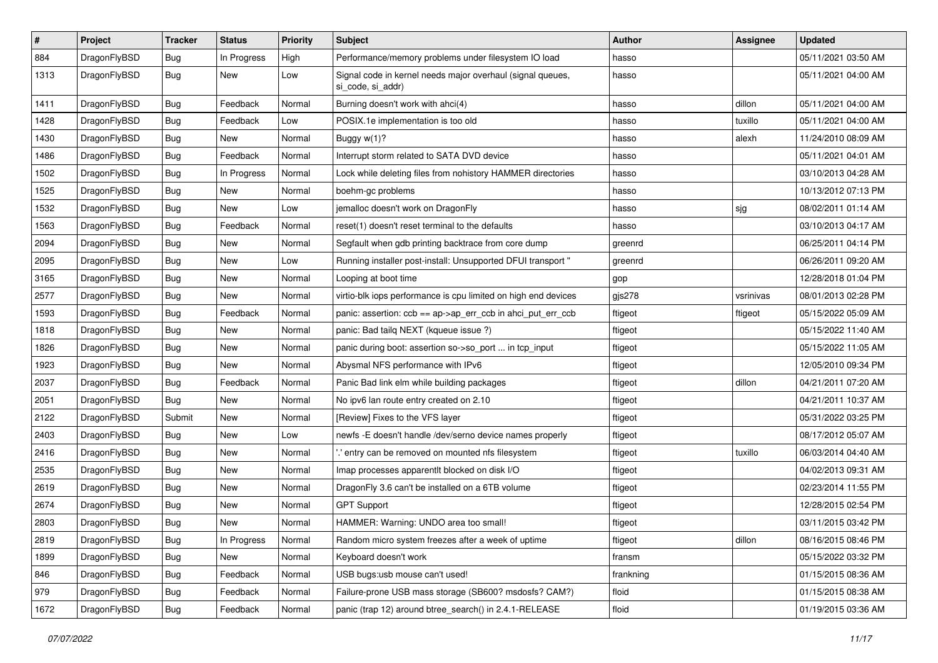| $\vert$ # | Project      | <b>Tracker</b> | <b>Status</b> | <b>Priority</b> | Subject                                                                         | Author    | <b>Assignee</b> | <b>Updated</b>      |
|-----------|--------------|----------------|---------------|-----------------|---------------------------------------------------------------------------------|-----------|-----------------|---------------------|
| 884       | DragonFlyBSD | <b>Bug</b>     | In Progress   | High            | Performance/memory problems under filesystem IO load                            | hasso     |                 | 05/11/2021 03:50 AM |
| 1313      | DragonFlyBSD | Bug            | New           | Low             | Signal code in kernel needs major overhaul (signal queues,<br>si code, si addr) | hasso     |                 | 05/11/2021 04:00 AM |
| 1411      | DragonFlyBSD | Bug            | Feedback      | Normal          | Burning doesn't work with ahci(4)                                               | hasso     | dillon          | 05/11/2021 04:00 AM |
| 1428      | DragonFlyBSD | <b>Bug</b>     | Feedback      | Low             | POSIX.1e implementation is too old                                              | hasso     | tuxillo         | 05/11/2021 04:00 AM |
| 1430      | DragonFlyBSD | <b>Bug</b>     | New           | Normal          | Buggy w(1)?                                                                     | hasso     | alexh           | 11/24/2010 08:09 AM |
| 1486      | DragonFlyBSD | <b>Bug</b>     | Feedback      | Normal          | Interrupt storm related to SATA DVD device                                      | hasso     |                 | 05/11/2021 04:01 AM |
| 1502      | DragonFlyBSD | <b>Bug</b>     | In Progress   | Normal          | Lock while deleting files from nohistory HAMMER directories                     | hasso     |                 | 03/10/2013 04:28 AM |
| 1525      | DragonFlyBSD | Bug            | <b>New</b>    | Normal          | boehm-gc problems                                                               | hasso     |                 | 10/13/2012 07:13 PM |
| 1532      | DragonFlyBSD | Bug            | New           | Low             | jemalloc doesn't work on DragonFly                                              | hasso     | sjg             | 08/02/2011 01:14 AM |
| 1563      | DragonFlyBSD | <b>Bug</b>     | Feedback      | Normal          | reset(1) doesn't reset terminal to the defaults                                 | hasso     |                 | 03/10/2013 04:17 AM |
| 2094      | DragonFlyBSD | Bug            | <b>New</b>    | Normal          | Segfault when gdb printing backtrace from core dump                             | greenrd   |                 | 06/25/2011 04:14 PM |
| 2095      | DragonFlyBSD | <b>Bug</b>     | New           | Low             | Running installer post-install: Unsupported DFUI transport "                    | greenrd   |                 | 06/26/2011 09:20 AM |
| 3165      | DragonFlyBSD | Bug            | New           | Normal          | Looping at boot time                                                            | gop       |                 | 12/28/2018 01:04 PM |
| 2577      | DragonFlyBSD | <b>Bug</b>     | New           | Normal          | virtio-blk iops performance is cpu limited on high end devices                  | gjs278    | vsrinivas       | 08/01/2013 02:28 PM |
| 1593      | DragonFlyBSD | <b>Bug</b>     | Feedback      | Normal          | panic: assertion: ccb == ap->ap_err_ccb in ahci_put_err_ccb                     | ftigeot   | ftigeot         | 05/15/2022 05:09 AM |
| 1818      | DragonFlyBSD | Bug            | New           | Normal          | panic: Bad tailg NEXT (kgueue issue ?)                                          | ftigeot   |                 | 05/15/2022 11:40 AM |
| 1826      | DragonFlyBSD | Bug            | <b>New</b>    | Normal          | panic during boot: assertion so->so_port  in tcp_input                          | ftigeot   |                 | 05/15/2022 11:05 AM |
| 1923      | DragonFlyBSD | <b>Bug</b>     | New           | Normal          | Abysmal NFS performance with IPv6                                               | ftigeot   |                 | 12/05/2010 09:34 PM |
| 2037      | DragonFlyBSD | <b>Bug</b>     | Feedback      | Normal          | Panic Bad link elm while building packages                                      | ftigeot   | dillon          | 04/21/2011 07:20 AM |
| 2051      | DragonFlyBSD | <b>Bug</b>     | <b>New</b>    | Normal          | No ipv6 lan route entry created on 2.10                                         | ftigeot   |                 | 04/21/2011 10:37 AM |
| 2122      | DragonFlyBSD | Submit         | <b>New</b>    | Normal          | [Review] Fixes to the VFS layer                                                 | ftigeot   |                 | 05/31/2022 03:25 PM |
| 2403      | DragonFlyBSD | Bug            | <b>New</b>    | Low             | newfs -E doesn't handle /dev/serno device names properly                        | ftigeot   |                 | 08/17/2012 05:07 AM |
| 2416      | DragonFlyBSD | Bug            | New           | Normal          | ".' entry can be removed on mounted nfs filesystem                              | ftigeot   | tuxillo         | 06/03/2014 04:40 AM |
| 2535      | DragonFlyBSD | Bug            | <b>New</b>    | Normal          | Imap processes apparentlt blocked on disk I/O                                   | ftigeot   |                 | 04/02/2013 09:31 AM |
| 2619      | DragonFlyBSD | Bug            | <b>New</b>    | Normal          | DragonFly 3.6 can't be installed on a 6TB volume                                | ftigeot   |                 | 02/23/2014 11:55 PM |
| 2674      | DragonFlyBSD | Bug            | New           | Normal          | <b>GPT Support</b>                                                              | ftigeot   |                 | 12/28/2015 02:54 PM |
| 2803      | DragonFlyBSD | <b>Bug</b>     | <b>New</b>    | Normal          | HAMMER: Warning: UNDO area too small!                                           | ftigeot   |                 | 03/11/2015 03:42 PM |
| 2819      | DragonFlyBSD | Bug            | In Progress   | Normal          | Random micro system freezes after a week of uptime                              | ftigeot   | dillon          | 08/16/2015 08:46 PM |
| 1899      | DragonFlyBSD | <b>Bug</b>     | New           | Normal          | Keyboard doesn't work                                                           | fransm    |                 | 05/15/2022 03:32 PM |
| 846       | DragonFlyBSD | <b>Bug</b>     | Feedback      | Normal          | USB bugs:usb mouse can't used!                                                  | frankning |                 | 01/15/2015 08:36 AM |
| 979       | DragonFlyBSD | Bug            | Feedback      | Normal          | Failure-prone USB mass storage (SB600? msdosfs? CAM?)                           | floid     |                 | 01/15/2015 08:38 AM |
| 1672      | DragonFlyBSD | <b>Bug</b>     | Feedback      | Normal          | panic (trap 12) around btree_search() in 2.4.1-RELEASE                          | floid     |                 | 01/19/2015 03:36 AM |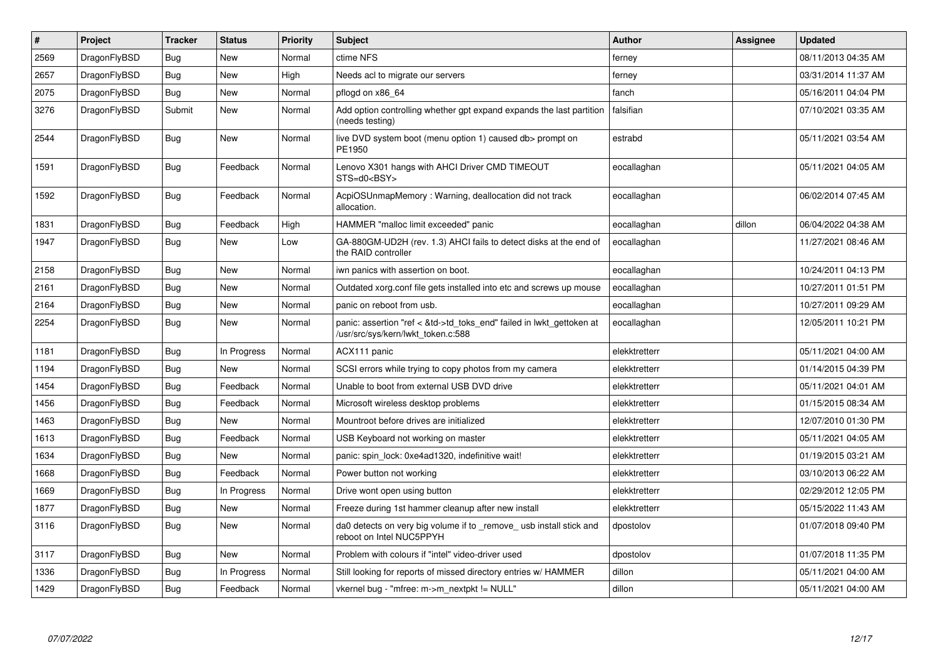| $\sharp$ | Project      | <b>Tracker</b> | <b>Status</b> | <b>Priority</b> | <b>Subject</b>                                                                                             | <b>Author</b> | Assignee | <b>Updated</b>      |
|----------|--------------|----------------|---------------|-----------------|------------------------------------------------------------------------------------------------------------|---------------|----------|---------------------|
| 2569     | DragonFlyBSD | Bug            | <b>New</b>    | Normal          | ctime NFS                                                                                                  | ferney        |          | 08/11/2013 04:35 AM |
| 2657     | DragonFlyBSD | Bug            | <b>New</b>    | High            | Needs acl to migrate our servers                                                                           | ferney        |          | 03/31/2014 11:37 AM |
| 2075     | DragonFlyBSD | Bug            | New           | Normal          | pflogd on x86 64                                                                                           | fanch         |          | 05/16/2011 04:04 PM |
| 3276     | DragonFlyBSD | Submit         | New           | Normal          | Add option controlling whether gpt expand expands the last partition<br>(needs testing)                    | falsifian     |          | 07/10/2021 03:35 AM |
| 2544     | DragonFlyBSD | <b>Bug</b>     | <b>New</b>    | Normal          | live DVD system boot (menu option 1) caused db> prompt on<br>PE1950                                        | estrabd       |          | 05/11/2021 03:54 AM |
| 1591     | DragonFlyBSD | <b>Bug</b>     | Feedback      | Normal          | Lenovo X301 hangs with AHCI Driver CMD TIMEOUT<br>STS=d0 <bsy></bsy>                                       | eocallaghan   |          | 05/11/2021 04:05 AM |
| 1592     | DragonFlyBSD | <b>Bug</b>     | Feedback      | Normal          | AcpiOSUnmapMemory: Warning, deallocation did not track<br>allocation.                                      | eocallaghan   |          | 06/02/2014 07:45 AM |
| 1831     | DragonFlyBSD | <b>Bug</b>     | Feedback      | High            | HAMMER "malloc limit exceeded" panic                                                                       | eocallaghan   | dillon   | 06/04/2022 04:38 AM |
| 1947     | DragonFlyBSD | <b>Bug</b>     | <b>New</b>    | Low             | GA-880GM-UD2H (rev. 1.3) AHCI fails to detect disks at the end of<br>the RAID controller                   | eocallaghan   |          | 11/27/2021 08:46 AM |
| 2158     | DragonFlyBSD | <b>Bug</b>     | <b>New</b>    | Normal          | iwn panics with assertion on boot.                                                                         | eocallaghan   |          | 10/24/2011 04:13 PM |
| 2161     | DragonFlyBSD | Bug            | New           | Normal          | Outdated xorg.conf file gets installed into etc and screws up mouse                                        | eocallaghan   |          | 10/27/2011 01:51 PM |
| 2164     | DragonFlyBSD | Bug            | New           | Normal          | panic on reboot from usb.                                                                                  | eocallaghan   |          | 10/27/2011 09:29 AM |
| 2254     | DragonFlyBSD | <b>Bug</b>     | New           | Normal          | panic: assertion "ref < &td->td_toks_end" failed in lwkt_gettoken at<br>/usr/src/sys/kern/lwkt_token.c:588 | eocallaghan   |          | 12/05/2011 10:21 PM |
| 1181     | DragonFlyBSD | <b>Bug</b>     | In Progress   | Normal          | ACX111 panic                                                                                               | elekktretterr |          | 05/11/2021 04:00 AM |
| 1194     | DragonFlyBSD | <b>Bug</b>     | New           | Normal          | SCSI errors while trying to copy photos from my camera                                                     | elekktretterr |          | 01/14/2015 04:39 PM |
| 1454     | DragonFlyBSD | <b>Bug</b>     | Feedback      | Normal          | Unable to boot from external USB DVD drive                                                                 | elekktretterr |          | 05/11/2021 04:01 AM |
| 1456     | DragonFlyBSD | <b>Bug</b>     | Feedback      | Normal          | Microsoft wireless desktop problems                                                                        | elekktretterr |          | 01/15/2015 08:34 AM |
| 1463     | DragonFlyBSD | <b>Bug</b>     | <b>New</b>    | Normal          | Mountroot before drives are initialized                                                                    | elekktretterr |          | 12/07/2010 01:30 PM |
| 1613     | DragonFlyBSD | <b>Bug</b>     | Feedback      | Normal          | USB Keyboard not working on master                                                                         | elekktretterr |          | 05/11/2021 04:05 AM |
| 1634     | DragonFlyBSD | <b>Bug</b>     | <b>New</b>    | Normal          | panic: spin lock: 0xe4ad1320, indefinitive wait!                                                           | elekktretterr |          | 01/19/2015 03:21 AM |
| 1668     | DragonFlyBSD | Bug            | Feedback      | Normal          | Power button not working                                                                                   | elekktretterr |          | 03/10/2013 06:22 AM |
| 1669     | DragonFlyBSD | <b>Bug</b>     | In Progress   | Normal          | Drive wont open using button                                                                               | elekktretterr |          | 02/29/2012 12:05 PM |
| 1877     | DragonFlyBSD | Bug            | New           | Normal          | Freeze during 1st hammer cleanup after new install                                                         | elekktretterr |          | 05/15/2022 11:43 AM |
| 3116     | DragonFlyBSD | Bug            | New           | Normal          | da0 detects on very big volume if to remove usb install stick and<br>reboot on Intel NUC5PPYH              | dpostolov     |          | 01/07/2018 09:40 PM |
| 3117     | DragonFlyBSD | Bug            | <b>New</b>    | Normal          | Problem with colours if "intel" video-driver used                                                          | dpostolov     |          | 01/07/2018 11:35 PM |
| 1336     | DragonFlyBSD | Bug            | In Progress   | Normal          | Still looking for reports of missed directory entries w/ HAMMER                                            | dillon        |          | 05/11/2021 04:00 AM |
| 1429     | DragonFlyBSD | <b>Bug</b>     | Feedback      | Normal          | vkernel bug - "mfree: m->m_nextpkt != NULL"                                                                | dillon        |          | 05/11/2021 04:00 AM |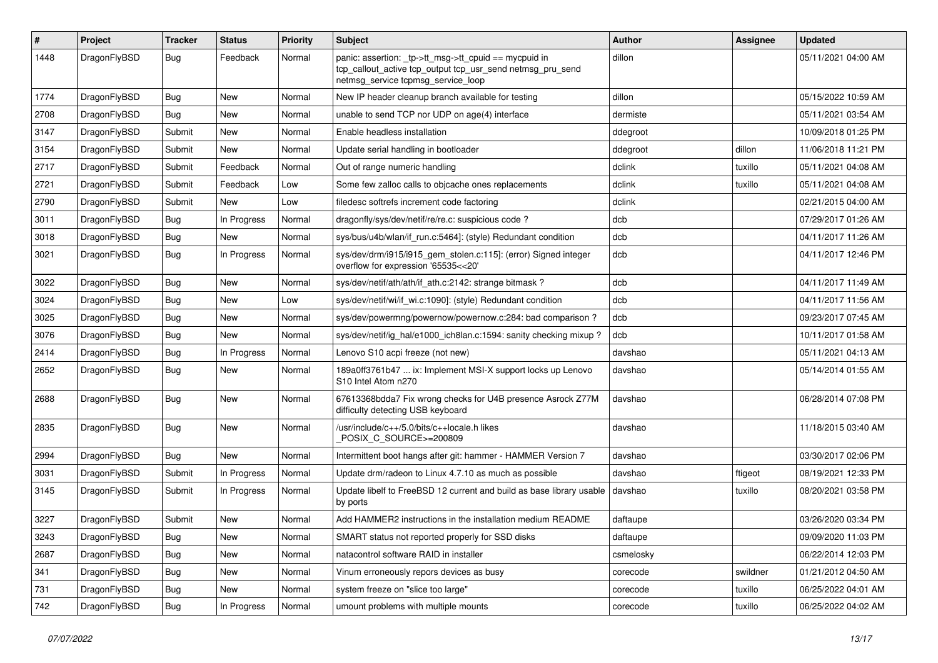| #    | Project      | <b>Tracker</b> | <b>Status</b> | <b>Priority</b> | Subject                                                                                                                                                   | Author    | Assignee | <b>Updated</b>      |
|------|--------------|----------------|---------------|-----------------|-----------------------------------------------------------------------------------------------------------------------------------------------------------|-----------|----------|---------------------|
| 1448 | DragonFlyBSD | Bug            | Feedback      | Normal          | panic: assertion: _tp->tt_msg->tt_cpuid == mycpuid in<br>tcp_callout_active tcp_output tcp_usr_send netmsg_pru_send<br>netmsg_service tcpmsg_service_loop | dillon    |          | 05/11/2021 04:00 AM |
| 1774 | DragonFlyBSD | Bug            | <b>New</b>    | Normal          | New IP header cleanup branch available for testing                                                                                                        | dillon    |          | 05/15/2022 10:59 AM |
| 2708 | DragonFlyBSD | Bug            | <b>New</b>    | Normal          | unable to send TCP nor UDP on age(4) interface                                                                                                            | dermiste  |          | 05/11/2021 03:54 AM |
| 3147 | DragonFlyBSD | Submit         | <b>New</b>    | Normal          | Enable headless installation                                                                                                                              | ddegroot  |          | 10/09/2018 01:25 PM |
| 3154 | DragonFlyBSD | Submit         | <b>New</b>    | Normal          | Update serial handling in bootloader                                                                                                                      | ddegroot  | dillon   | 11/06/2018 11:21 PM |
| 2717 | DragonFlyBSD | Submit         | Feedback      | Normal          | Out of range numeric handling                                                                                                                             | dclink    | tuxillo  | 05/11/2021 04:08 AM |
| 2721 | DragonFlyBSD | Submit         | Feedback      | Low             | Some few zalloc calls to objcache ones replacements                                                                                                       | dclink    | tuxillo  | 05/11/2021 04:08 AM |
| 2790 | DragonFlyBSD | Submit         | <b>New</b>    | Low             | filedesc softrefs increment code factoring                                                                                                                | dclink    |          | 02/21/2015 04:00 AM |
| 3011 | DragonFlyBSD | <b>Bug</b>     | In Progress   | Normal          | dragonfly/sys/dev/netif/re/re.c: suspicious code?                                                                                                         | dcb       |          | 07/29/2017 01:26 AM |
| 3018 | DragonFlyBSD | Bug            | <b>New</b>    | Normal          | sys/bus/u4b/wlan/if_run.c:5464]: (style) Redundant condition                                                                                              | dcb       |          | 04/11/2017 11:26 AM |
| 3021 | DragonFlyBSD | Bug            | In Progress   | Normal          | sys/dev/drm/i915/i915_gem_stolen.c:115]: (error) Signed integer<br>overflow for expression '65535<<20'                                                    | dcb       |          | 04/11/2017 12:46 PM |
| 3022 | DragonFlyBSD | Bug            | <b>New</b>    | Normal          | sys/dev/netif/ath/ath/if_ath.c:2142: strange bitmask?                                                                                                     | dcb       |          | 04/11/2017 11:49 AM |
| 3024 | DragonFlyBSD | <b>Bug</b>     | New           | Low             | sys/dev/netif/wi/if_wi.c:1090]: (style) Redundant condition                                                                                               | dcb       |          | 04/11/2017 11:56 AM |
| 3025 | DragonFlyBSD | <b>Bug</b>     | <b>New</b>    | Normal          | sys/dev/powermng/powernow/powernow.c:284: bad comparison?                                                                                                 | dcb       |          | 09/23/2017 07:45 AM |
| 3076 | DragonFlyBSD | Bug            | <b>New</b>    | Normal          | sys/dev/netif/ig_hal/e1000_ich8lan.c:1594: sanity checking mixup ?                                                                                        | dcb       |          | 10/11/2017 01:58 AM |
| 2414 | DragonFlyBSD | <b>Bug</b>     | In Progress   | Normal          | Lenovo S10 acpi freeze (not new)                                                                                                                          | davshao   |          | 05/11/2021 04:13 AM |
| 2652 | DragonFlyBSD | Bug            | <b>New</b>    | Normal          | 189a0ff3761b47  ix: Implement MSI-X support locks up Lenovo<br>S10 Intel Atom n270                                                                        | davshao   |          | 05/14/2014 01:55 AM |
| 2688 | DragonFlyBSD | Bug            | <b>New</b>    | Normal          | 67613368bdda7 Fix wrong checks for U4B presence Asrock Z77M<br>difficulty detecting USB keyboard                                                          | davshao   |          | 06/28/2014 07:08 PM |
| 2835 | DragonFlyBSD | Bug            | New           | Normal          | /usr/include/c++/5.0/bits/c++locale.h likes<br>POSIX C_SOURCE>=200809                                                                                     | davshao   |          | 11/18/2015 03:40 AM |
| 2994 | DragonFlyBSD | Bug            | <b>New</b>    | Normal          | Intermittent boot hangs after git: hammer - HAMMER Version 7                                                                                              | davshao   |          | 03/30/2017 02:06 PM |
| 3031 | DragonFlyBSD | Submit         | In Progress   | Normal          | Update drm/radeon to Linux 4.7.10 as much as possible                                                                                                     | davshao   | ftigeot  | 08/19/2021 12:33 PM |
| 3145 | DragonFlyBSD | Submit         | In Progress   | Normal          | Update libelf to FreeBSD 12 current and build as base library usable<br>by ports                                                                          | davshao   | tuxillo  | 08/20/2021 03:58 PM |
| 3227 | DragonFlyBSD | Submit         | New           | Normal          | Add HAMMER2 instructions in the installation medium README                                                                                                | daftaupe  |          | 03/26/2020 03:34 PM |
| 3243 | DragonFlyBSD | Bug            | <b>New</b>    | Normal          | SMART status not reported properly for SSD disks                                                                                                          | daftaupe  |          | 09/09/2020 11:03 PM |
| 2687 | DragonFlyBSD | Bug            | New           | Normal          | natacontrol software RAID in installer                                                                                                                    | csmelosky |          | 06/22/2014 12:03 PM |
| 341  | DragonFlyBSD | <b>Bug</b>     | New           | Normal          | Vinum erroneously repors devices as busy                                                                                                                  | corecode  | swildner | 01/21/2012 04:50 AM |
| 731  | DragonFlyBSD | <b>Bug</b>     | New           | Normal          | system freeze on "slice too large"                                                                                                                        | corecode  | tuxillo  | 06/25/2022 04:01 AM |
| 742  | DragonFlyBSD | <b>Bug</b>     | In Progress   | Normal          | umount problems with multiple mounts                                                                                                                      | corecode  | tuxillo  | 06/25/2022 04:02 AM |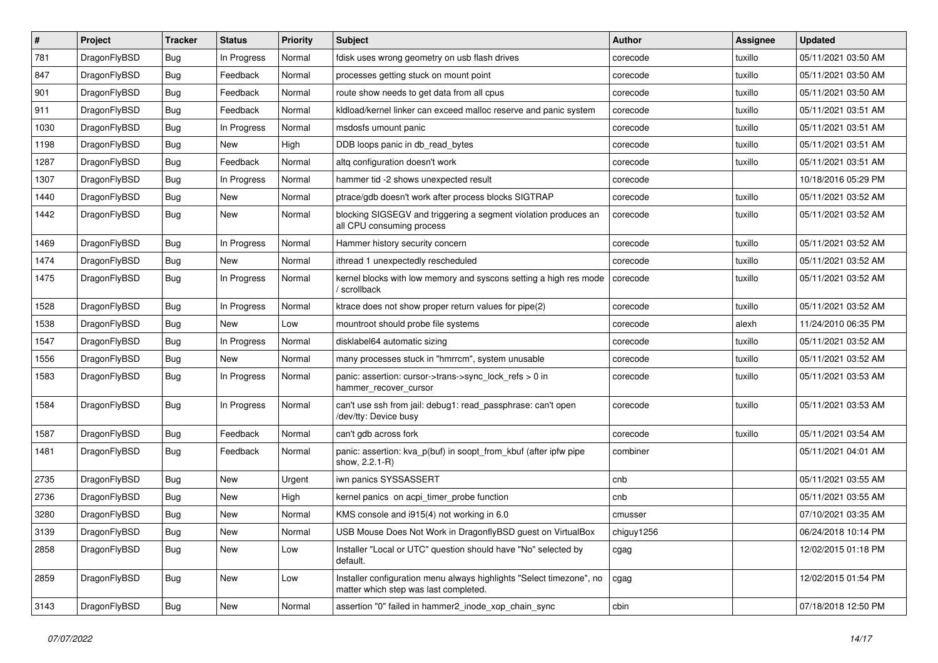| $\#$ | Project      | <b>Tracker</b> | <b>Status</b> | <b>Priority</b> | Subject                                                                                                       | <b>Author</b> | Assignee | <b>Updated</b>      |
|------|--------------|----------------|---------------|-----------------|---------------------------------------------------------------------------------------------------------------|---------------|----------|---------------------|
| 781  | DragonFlyBSD | Bug            | In Progress   | Normal          | fdisk uses wrong geometry on usb flash drives                                                                 | corecode      | tuxillo  | 05/11/2021 03:50 AM |
| 847  | DragonFlyBSD | Bug            | Feedback      | Normal          | processes getting stuck on mount point                                                                        | corecode      | tuxillo  | 05/11/2021 03:50 AM |
| 901  | DragonFlyBSD | Bug            | Feedback      | Normal          | route show needs to get data from all cpus                                                                    | corecode      | tuxillo  | 05/11/2021 03:50 AM |
| 911  | DragonFlyBSD | Bug            | Feedback      | Normal          | kldload/kernel linker can exceed malloc reserve and panic system                                              | corecode      | tuxillo  | 05/11/2021 03:51 AM |
| 1030 | DragonFlyBSD | <b>Bug</b>     | In Progress   | Normal          | msdosfs umount panic                                                                                          | corecode      | tuxillo  | 05/11/2021 03:51 AM |
| 1198 | DragonFlyBSD | <b>Bug</b>     | New           | High            | DDB loops panic in db_read_bytes                                                                              | corecode      | tuxillo  | 05/11/2021 03:51 AM |
| 1287 | DragonFlyBSD | <b>Bug</b>     | Feedback      | Normal          | altg configuration doesn't work                                                                               | corecode      | tuxillo  | 05/11/2021 03:51 AM |
| 1307 | DragonFlyBSD | Bug            | In Progress   | Normal          | hammer tid -2 shows unexpected result                                                                         | corecode      |          | 10/18/2016 05:29 PM |
| 1440 | DragonFlyBSD | Bug            | New           | Normal          | ptrace/gdb doesn't work after process blocks SIGTRAP                                                          | corecode      | tuxillo  | 05/11/2021 03:52 AM |
| 1442 | DragonFlyBSD | Bug            | New           | Normal          | blocking SIGSEGV and triggering a segment violation produces an<br>all CPU consuming process                  | corecode      | tuxillo  | 05/11/2021 03:52 AM |
| 1469 | DragonFlyBSD | <b>Bug</b>     | In Progress   | Normal          | Hammer history security concern                                                                               | corecode      | tuxillo  | 05/11/2021 03:52 AM |
| 1474 | DragonFlyBSD | <b>Bug</b>     | New           | Normal          | ithread 1 unexpectedly rescheduled                                                                            | corecode      | tuxillo  | 05/11/2021 03:52 AM |
| 1475 | DragonFlyBSD | <b>Bug</b>     | In Progress   | Normal          | kernel blocks with low memory and syscons setting a high res mode<br>/ scrollback                             | corecode      | tuxillo  | 05/11/2021 03:52 AM |
| 1528 | DragonFlyBSD | <b>Bug</b>     | In Progress   | Normal          | ktrace does not show proper return values for pipe(2)                                                         | corecode      | tuxillo  | 05/11/2021 03:52 AM |
| 1538 | DragonFlyBSD | <b>Bug</b>     | New           | Low             | mountroot should probe file systems                                                                           | corecode      | alexh    | 11/24/2010 06:35 PM |
| 1547 | DragonFlyBSD | <b>Bug</b>     | In Progress   | Normal          | disklabel64 automatic sizing                                                                                  | corecode      | tuxillo  | 05/11/2021 03:52 AM |
| 1556 | DragonFlyBSD | <b>Bug</b>     | New           | Normal          | many processes stuck in "hmrrcm", system unusable                                                             | corecode      | tuxillo  | 05/11/2021 03:52 AM |
| 1583 | DragonFlyBSD | <b>Bug</b>     | In Progress   | Normal          | panic: assertion: cursor->trans->sync_lock_refs > 0 in<br>hammer recover cursor                               | corecode      | tuxillo  | 05/11/2021 03:53 AM |
| 1584 | DragonFlyBSD | Bug            | In Progress   | Normal          | can't use ssh from jail: debug1: read_passphrase: can't open<br>/dev/tty: Device busy                         | corecode      | tuxillo  | 05/11/2021 03:53 AM |
| 1587 | DragonFlyBSD | Bug            | Feedback      | Normal          | can't gdb across fork                                                                                         | corecode      | tuxillo  | 05/11/2021 03:54 AM |
| 1481 | DragonFlyBSD | <b>Bug</b>     | Feedback      | Normal          | panic: assertion: kva_p(buf) in soopt_from_kbuf (after ipfw pipe<br>show, 2.2.1-R)                            | combiner      |          | 05/11/2021 04:01 AM |
| 2735 | DragonFlyBSD | <b>Bug</b>     | New           | Urgent          | iwn panics SYSSASSERT                                                                                         | cnb           |          | 05/11/2021 03:55 AM |
| 2736 | DragonFlyBSD | <b>Bug</b>     | New           | High            | kernel panics on acpi_timer_probe function                                                                    | cnb           |          | 05/11/2021 03:55 AM |
| 3280 | DragonFlyBSD | <b>Bug</b>     | New           | Normal          | KMS console and i915(4) not working in 6.0                                                                    | cmusser       |          | 07/10/2021 03:35 AM |
| 3139 | DragonFlyBSD | <b>Bug</b>     | I New         | Normal          | USB Mouse Does Not Work in DragonflyBSD guest on VirtualBox                                                   | chiguy1256    |          | 06/24/2018 10:14 PM |
| 2858 | DragonFlyBSD | Bug            | New           | Low             | Installer "Local or UTC" question should have "No" selected by<br>default.                                    | cgag          |          | 12/02/2015 01:18 PM |
| 2859 | DragonFlyBSD | Bug            | New           | Low             | Installer configuration menu always highlights "Select timezone", no<br>matter which step was last completed. | cgag          |          | 12/02/2015 01:54 PM |
| 3143 | DragonFlyBSD | <b>Bug</b>     | New           | Normal          | assertion "0" failed in hammer2 inode xop chain sync                                                          | cbin          |          | 07/18/2018 12:50 PM |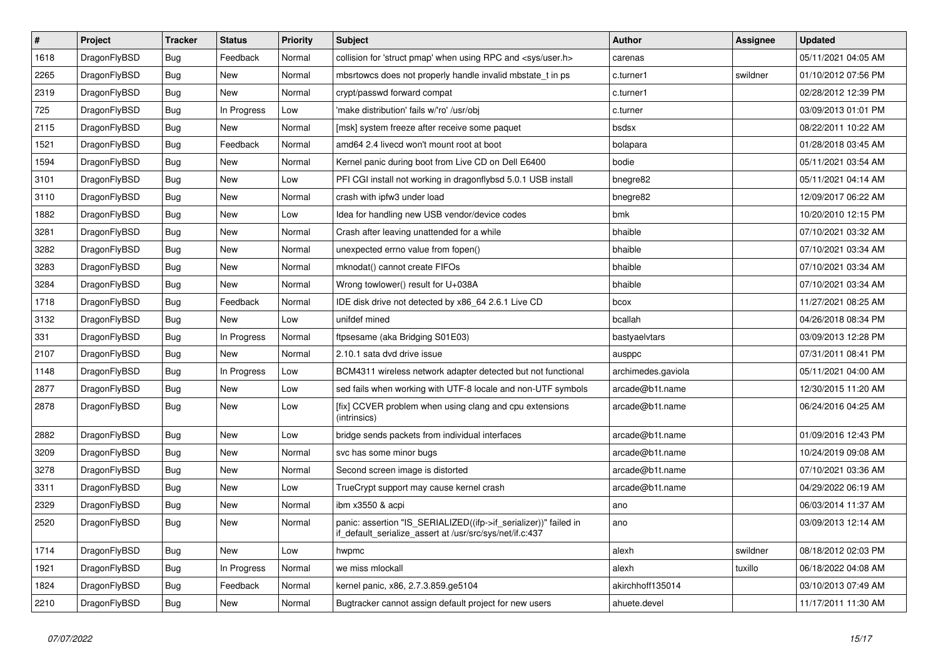| $\vert$ # | <b>Project</b> | <b>Tracker</b> | <b>Status</b> | Priority | <b>Subject</b>                                                                                                               | Author             | Assignee | <b>Updated</b>      |
|-----------|----------------|----------------|---------------|----------|------------------------------------------------------------------------------------------------------------------------------|--------------------|----------|---------------------|
| 1618      | DragonFlyBSD   | <b>Bug</b>     | Feedback      | Normal   | collision for 'struct pmap' when using RPC and <sys user.h=""></sys>                                                         | carenas            |          | 05/11/2021 04:05 AM |
| 2265      | DragonFlyBSD   | <b>Bug</b>     | New           | Normal   | mbsrtowcs does not properly handle invalid mbstate t in ps.                                                                  | c.turner1          | swildner | 01/10/2012 07:56 PM |
| 2319      | DragonFlyBSD   | <b>Bug</b>     | New           | Normal   | crypt/passwd forward compat                                                                                                  | c.turner1          |          | 02/28/2012 12:39 PM |
| 725       | DragonFlyBSD   | <b>Bug</b>     | In Progress   | Low      | 'make distribution' fails w/'ro' /usr/obj                                                                                    | c.turner           |          | 03/09/2013 01:01 PM |
| 2115      | DragonFlyBSD   | <b>Bug</b>     | New           | Normal   | [msk] system freeze after receive some paquet                                                                                | bsdsx              |          | 08/22/2011 10:22 AM |
| 1521      | DragonFlyBSD   | <b>Bug</b>     | Feedback      | Normal   | amd64 2.4 livecd won't mount root at boot                                                                                    | bolapara           |          | 01/28/2018 03:45 AM |
| 1594      | DragonFlyBSD   | <b>Bug</b>     | New           | Normal   | Kernel panic during boot from Live CD on Dell E6400                                                                          | bodie              |          | 05/11/2021 03:54 AM |
| 3101      | DragonFlyBSD   | Bug            | New           | Low      | PFI CGI install not working in dragonflybsd 5.0.1 USB install                                                                | bnegre82           |          | 05/11/2021 04:14 AM |
| 3110      | DragonFlyBSD   | <b>Bug</b>     | New           | Normal   | crash with ipfw3 under load                                                                                                  | bnegre82           |          | 12/09/2017 06:22 AM |
| 1882      | DragonFlyBSD   | Bug            | New           | Low      | Idea for handling new USB vendor/device codes                                                                                | bmk                |          | 10/20/2010 12:15 PM |
| 3281      | DragonFlyBSD   | <b>Bug</b>     | New           | Normal   | Crash after leaving unattended for a while                                                                                   | bhaible            |          | 07/10/2021 03:32 AM |
| 3282      | DragonFlyBSD   | <b>Bug</b>     | New           | Normal   | unexpected errno value from fopen()                                                                                          | bhaible            |          | 07/10/2021 03:34 AM |
| 3283      | DragonFlyBSD   | <b>Bug</b>     | <b>New</b>    | Normal   | mknodat() cannot create FIFOs                                                                                                | bhaible            |          | 07/10/2021 03:34 AM |
| 3284      | DragonFlyBSD   | Bug            | <b>New</b>    | Normal   | Wrong towlower() result for U+038A                                                                                           | bhaible            |          | 07/10/2021 03:34 AM |
| 1718      | DragonFlyBSD   | <b>Bug</b>     | Feedback      | Normal   | IDE disk drive not detected by x86_64 2.6.1 Live CD                                                                          | bcox               |          | 11/27/2021 08:25 AM |
| 3132      | DragonFlyBSD   | Bug            | New           | Low      | unifdef mined                                                                                                                | bcallah            |          | 04/26/2018 08:34 PM |
| 331       | DragonFlyBSD   | Bug            | In Progress   | Normal   | ftpsesame (aka Bridging S01E03)                                                                                              | bastyaelvtars      |          | 03/09/2013 12:28 PM |
| 2107      | DragonFlyBSD   | <b>Bug</b>     | <b>New</b>    | Normal   | 2.10.1 sata dvd drive issue                                                                                                  | ausppc             |          | 07/31/2011 08:41 PM |
| 1148      | DragonFlyBSD   | <b>Bug</b>     | In Progress   | Low      | BCM4311 wireless network adapter detected but not functional                                                                 | archimedes.gaviola |          | 05/11/2021 04:00 AM |
| 2877      | DragonFlyBSD   | <b>Bug</b>     | New           | Low      | sed fails when working with UTF-8 locale and non-UTF symbols                                                                 | arcade@b1t.name    |          | 12/30/2015 11:20 AM |
| 2878      | DragonFlyBSD   | <b>Bug</b>     | New           | Low      | [fix] CCVER problem when using clang and cpu extensions<br>(intrinsics)                                                      | arcade@b1t.name    |          | 06/24/2016 04:25 AM |
| 2882      | DragonFlyBSD   | <b>Bug</b>     | <b>New</b>    | Low      | bridge sends packets from individual interfaces                                                                              | arcade@b1t.name    |          | 01/09/2016 12:43 PM |
| 3209      | DragonFlyBSD   | Bug            | New           | Normal   | svc has some minor bugs                                                                                                      | arcade@b1t.name    |          | 10/24/2019 09:08 AM |
| 3278      | DragonFlyBSD   | Bug            | <b>New</b>    | Normal   | Second screen image is distorted                                                                                             | arcade@b1t.name    |          | 07/10/2021 03:36 AM |
| 3311      | DragonFlyBSD   | <b>Bug</b>     | <b>New</b>    | Low      | TrueCrypt support may cause kernel crash                                                                                     | arcade@b1t.name    |          | 04/29/2022 06:19 AM |
| 2329      | DragonFlyBSD   | <b>Bug</b>     | <b>New</b>    | Normal   | ibm x3550 & acpi                                                                                                             | ano                |          | 06/03/2014 11:37 AM |
| 2520      | DragonFlyBSD   | <b>Bug</b>     | <b>New</b>    | Normal   | panic: assertion "IS_SERIALIZED((ifp->if_serializer))" failed in<br>if_default_serialize_assert at /usr/src/sys/net/if.c:437 | ano                |          | 03/09/2013 12:14 AM |
| 1714      | DragonFlyBSD   | <b>Bug</b>     | New           | Low      | hwpmc                                                                                                                        | alexh              | swildner | 08/18/2012 02:03 PM |
| 1921      | DragonFlyBSD   | Bug            | In Progress   | Normal   | we miss mlockall                                                                                                             | alexh              | tuxillo  | 06/18/2022 04:08 AM |
| 1824      | DragonFlyBSD   | <b>Bug</b>     | Feedback      | Normal   | kernel panic, x86, 2.7.3.859.ge5104                                                                                          | akirchhoff135014   |          | 03/10/2013 07:49 AM |
| 2210      | DragonFlyBSD   | <b>Bug</b>     | <b>New</b>    | Normal   | Bugtracker cannot assign default project for new users                                                                       | ahuete.devel       |          | 11/17/2011 11:30 AM |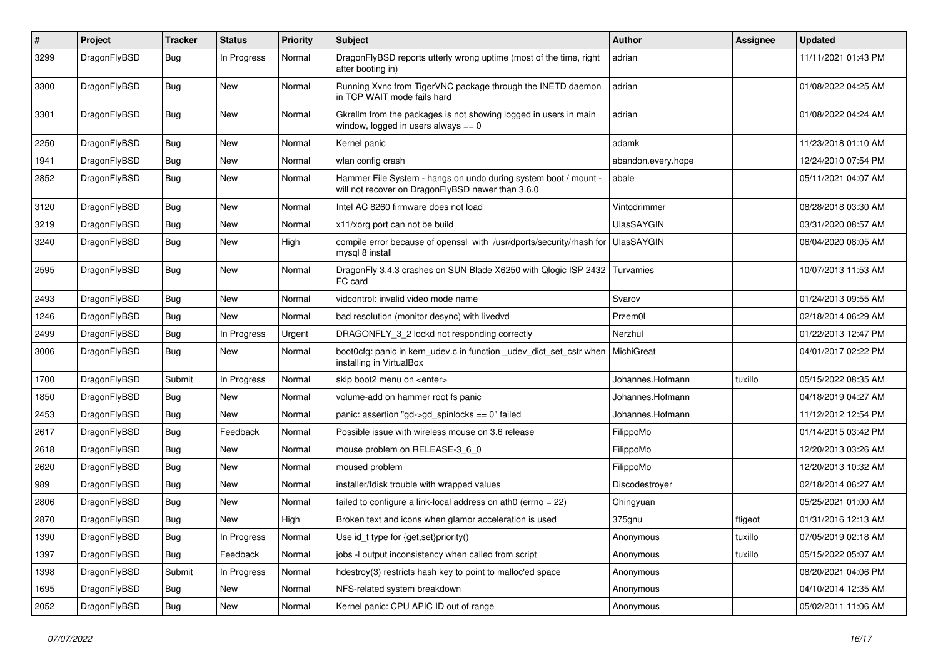| $\#$ | Project      | <b>Tracker</b> | <b>Status</b> | <b>Priority</b> | Subject                                                                                                              | <b>Author</b>      | Assignee | <b>Updated</b>      |
|------|--------------|----------------|---------------|-----------------|----------------------------------------------------------------------------------------------------------------------|--------------------|----------|---------------------|
| 3299 | DragonFlyBSD | Bug            | In Progress   | Normal          | DragonFlyBSD reports utterly wrong uptime (most of the time, right<br>after booting in)                              | adrian             |          | 11/11/2021 01:43 PM |
| 3300 | DragonFlyBSD | Bug            | <b>New</b>    | Normal          | Running Xvnc from TigerVNC package through the INETD daemon<br>in TCP WAIT mode fails hard                           | adrian             |          | 01/08/2022 04:25 AM |
| 3301 | DragonFlyBSD | <b>Bug</b>     | New           | Normal          | Gkrellm from the packages is not showing logged in users in main<br>window, logged in users always $== 0$            | adrian             |          | 01/08/2022 04:24 AM |
| 2250 | DragonFlyBSD | Bug            | <b>New</b>    | Normal          | Kernel panic                                                                                                         | adamk              |          | 11/23/2018 01:10 AM |
| 1941 | DragonFlyBSD | <b>Bug</b>     | <b>New</b>    | Normal          | wlan config crash                                                                                                    | abandon.every.hope |          | 12/24/2010 07:54 PM |
| 2852 | DragonFlyBSD | Bug            | New           | Normal          | Hammer File System - hangs on undo during system boot / mount -<br>will not recover on DragonFlyBSD newer than 3.6.0 | abale              |          | 05/11/2021 04:07 AM |
| 3120 | DragonFlyBSD | Bug            | <b>New</b>    | Normal          | Intel AC 8260 firmware does not load                                                                                 | Vintodrimmer       |          | 08/28/2018 03:30 AM |
| 3219 | DragonFlyBSD | <b>Bug</b>     | New           | Normal          | x11/xorg port can not be build                                                                                       | <b>UlasSAYGIN</b>  |          | 03/31/2020 08:57 AM |
| 3240 | DragonFlyBSD | Bug            | <b>New</b>    | High            | compile error because of openssl with /usr/dports/security/rhash for<br>mysql 8 install                              | UlasSAYGIN         |          | 06/04/2020 08:05 AM |
| 2595 | DragonFlyBSD | Bug            | <b>New</b>    | Normal          | DragonFly 3.4.3 crashes on SUN Blade X6250 with Qlogic ISP 2432 Turvamies<br>FC card                                 |                    |          | 10/07/2013 11:53 AM |
| 2493 | DragonFlyBSD | Bug            | <b>New</b>    | Normal          | vidcontrol: invalid video mode name                                                                                  | Svarov             |          | 01/24/2013 09:55 AM |
| 1246 | DragonFlyBSD | <b>Bug</b>     | <b>New</b>    | Normal          | bad resolution (monitor desync) with livedvd                                                                         | Przem0l            |          | 02/18/2014 06:29 AM |
| 2499 | DragonFlyBSD | <b>Bug</b>     | In Progress   | Urgent          | DRAGONFLY_3_2 lockd not responding correctly                                                                         | Nerzhul            |          | 01/22/2013 12:47 PM |
| 3006 | DragonFlyBSD | <b>Bug</b>     | New           | Normal          | boot0cfg: panic in kern_udev.c in function _udev_dict_set_cstr when<br>installing in VirtualBox                      | MichiGreat         |          | 04/01/2017 02:22 PM |
| 1700 | DragonFlyBSD | Submit         | In Progress   | Normal          | skip boot2 menu on <enter></enter>                                                                                   | Johannes.Hofmann   | tuxillo  | 05/15/2022 08:35 AM |
| 1850 | DragonFlyBSD | Bug            | <b>New</b>    | Normal          | volume-add on hammer root fs panic                                                                                   | Johannes.Hofmann   |          | 04/18/2019 04:27 AM |
| 2453 | DragonFlyBSD | <b>Bug</b>     | New           | Normal          | panic: assertion "gd->gd_spinlocks == 0" failed                                                                      | Johannes.Hofmann   |          | 11/12/2012 12:54 PM |
| 2617 | DragonFlyBSD | Bug            | Feedback      | Normal          | Possible issue with wireless mouse on 3.6 release                                                                    | FilippoMo          |          | 01/14/2015 03:42 PM |
| 2618 | DragonFlyBSD | Bug            | <b>New</b>    | Normal          | mouse problem on RELEASE-3_6_0                                                                                       | FilippoMo          |          | 12/20/2013 03:26 AM |
| 2620 | DragonFlyBSD | <b>Bug</b>     | New           | Normal          | moused problem                                                                                                       | FilippoMo          |          | 12/20/2013 10:32 AM |
| 989  | DragonFlyBSD | <b>Bug</b>     | New           | Normal          | installer/fdisk trouble with wrapped values                                                                          | Discodestroyer     |          | 02/18/2014 06:27 AM |
| 2806 | DragonFlyBSD | Bug            | <b>New</b>    | Normal          | failed to configure a link-local address on ath0 (errno = 22)                                                        | Chingyuan          |          | 05/25/2021 01:00 AM |
| 2870 | DragonFlyBSD | Bug            | <b>New</b>    | High            | Broken text and icons when glamor acceleration is used                                                               | 375gnu             | ftigeot  | 01/31/2016 12:13 AM |
| 1390 | DragonFlyBSD | Bug            | In Progress   | Normal          | Use id_t type for {get,set}priority()                                                                                | Anonymous          | tuxillo  | 07/05/2019 02:18 AM |
| 1397 | DragonFlyBSD | Bug            | Feedback      | Normal          | jobs -I output inconsistency when called from script                                                                 | Anonymous          | tuxillo  | 05/15/2022 05:07 AM |
| 1398 | DragonFlyBSD | Submit         | In Progress   | Normal          | hdestroy(3) restricts hash key to point to malloc'ed space                                                           | Anonymous          |          | 08/20/2021 04:06 PM |
| 1695 | DragonFlyBSD | <b>Bug</b>     | New           | Normal          | NFS-related system breakdown                                                                                         | Anonymous          |          | 04/10/2014 12:35 AM |
| 2052 | DragonFlyBSD | <b>Bug</b>     | New           | Normal          | Kernel panic: CPU APIC ID out of range                                                                               | Anonymous          |          | 05/02/2011 11:06 AM |